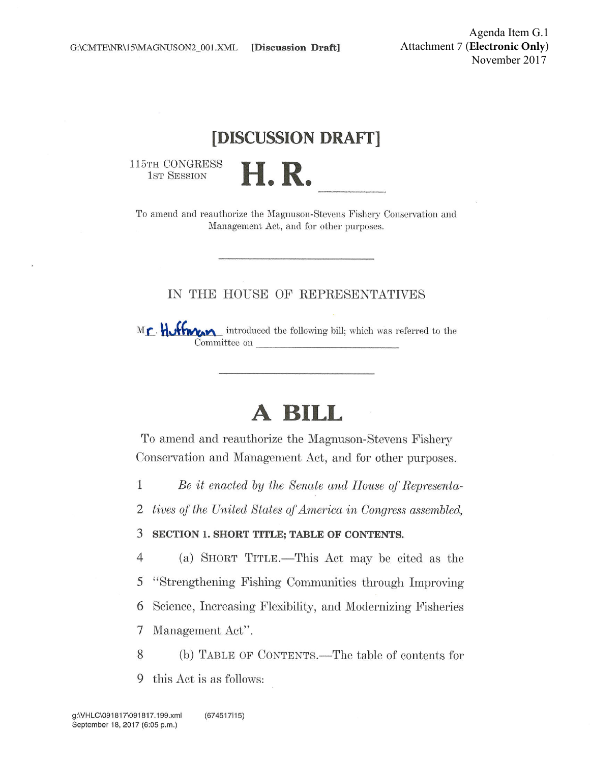## [DISCUSSION DRAFT]

115TH CONGRESS 1ST SESSION



To amend and reauthorize the Magnuson-Stevens Fishery Conservation and Management Act, and for other purposes.

### IN THE HOUSE OF REPRESENTATIVES

Mr. Huffman introduced the following bill; which was referred to the Committee on

# A BILL

To amend and reauthorize the Magnuson-Stevens Fishery Conservation and Management Act, and for other purposes.

 $\mathbf{1}$ Be it enacted by the Senate and House of Representa-

 $\overline{2}$ tives of the United States of America in Congress assembled.

3 SECTION 1. SHORT TITLE; TABLE OF CONTENTS.

 $\overline{4}$ (a) SHORT TITLE.—This Act may be cited as the "Strengthening Fishing Communities through Improving 5 Science, Increasing Flexibility, and Modernizing Fisheries 6 Management Act". 7

8 (b) TABLE OF CONTENTS.—The table of contents for

9 this Act is as follows: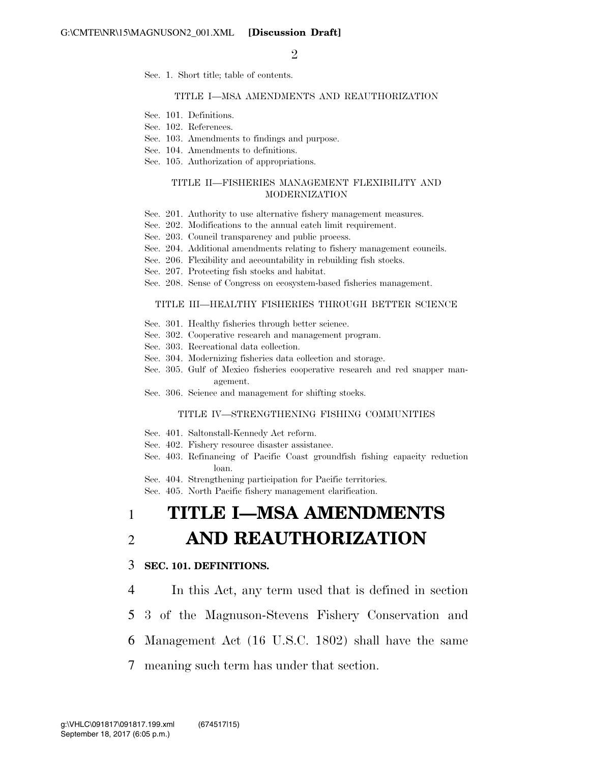$\mathfrak{D}$ 

Sec. 1. Short title; table of contents.

#### TITLE I—MSA AMENDMENTS AND REAUTHORIZATION

- Sec. 101. Definitions.
- Sec. 102. References.
- Sec. 103. Amendments to findings and purpose.
- Sec. 104. Amendments to definitions.
- Sec. 105. Authorization of appropriations.

#### TITLE II—FISHERIES MANAGEMENT FLEXIBILITY AND MODERNIZATION

- Sec. 201. Authority to use alternative fishery management measures.
- Sec. 202. Modifications to the annual catch limit requirement.
- Sec. 203. Council transparency and public process.
- Sec. 204. Additional amendments relating to fishery management councils.
- Sec. 206. Flexibility and accountability in rebuilding fish stocks.
- Sec. 207. Protecting fish stocks and habitat.
- Sec. 208. Sense of Congress on ecosystem-based fisheries management.

#### TITLE III—HEALTHY FISHERIES THROUGH BETTER SCIENCE

- Sec. 301. Healthy fisheries through better science.
- Sec. 302. Cooperative research and management program.
- Sec. 303. Recreational data collection.
- Sec. 304. Modernizing fisheries data collection and storage.
- Sec. 305. Gulf of Mexico fisheries cooperative research and red snapper management.
- Sec. 306. Science and management for shifting stocks.

#### TITLE IV—STRENGTHENING FISHING COMMUNITIES

- Sec. 401. Saltonstall-Kennedy Act reform.
- Sec.  $402$ . Fishery resource disaster assistance.
- Sec. 403. Refinancing of Pacific Coast groundfish fishing capacity reduction loan.
- Sec. 404. Strengthening participation for Pacific territories.
- Sec. 405. North Pacific fishery management clarification.

## 1 **TITLE I—MSA AMENDMENTS**  2 **AND REAUTHORIZATION**

#### 3 **SEC. 101. DEFINITIONS.**

4 In this Act, any term used that is defined in section

- 5 3 of the Magnuson-Stevens Fishery Conservation and
- 6 Management Act (16 U.S.C. 1802) shall have the same
- 7 meaning such term has under that section.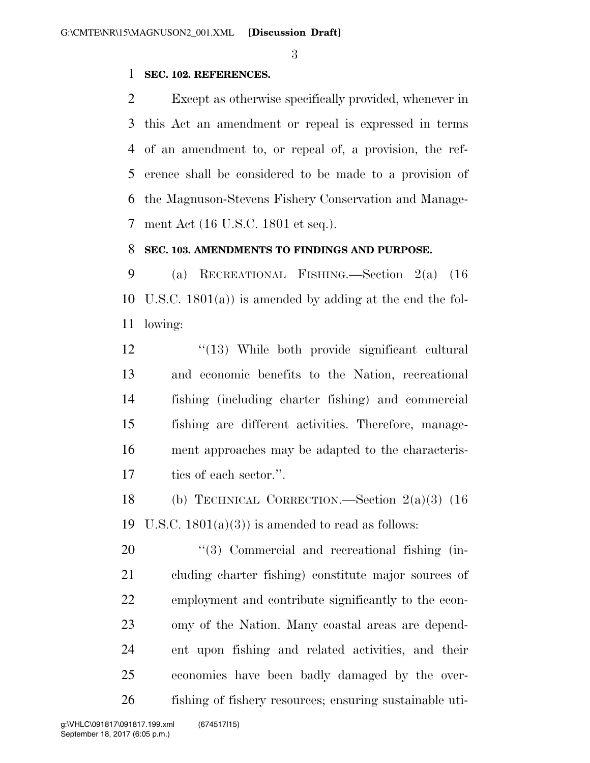### **SEC. 102. REFERENCES.**

 Except as otherwise specifically provided, whenever in this Act an amendment or repeal is expressed in terms of an amendment to, or repeal of, a provision, the ref- erence shall be considered to be made to a provision of the Magnuson-Stevens Fishery Conservation and Manage-ment Act (16 U.S.C. 1801 et seq.).

### **SEC. 103. AMENDMENTS TO FINDINGS AND PURPOSE.**

 (a) RECREATIONAL FISHING.—Section 2(a) (16 U.S.C. 1801(a)) is amended by adding at the end the fol-lowing:

 ''(13) While both provide significant cultural and economic benefits to the Nation, recreational fishing (including charter fishing) and commercial fishing are different activities. Therefore, manage- ment approaches may be adapted to the characteris-tics of each sector.''.

 (b) TECHNICAL CORRECTION.—Section 2(a)(3) (16 19 U.S.C.  $1801(a)(3)$  is amended to read as follows:

 $\frac{4}{3}$  Commercial and recreational fishing (in- cluding charter fishing) constitute major sources of employment and contribute significantly to the econ- omy of the Nation. Many coastal areas are depend- ent upon fishing and related activities, and their economies have been badly damaged by the over-fishing of fishery resources; ensuring sustainable uti-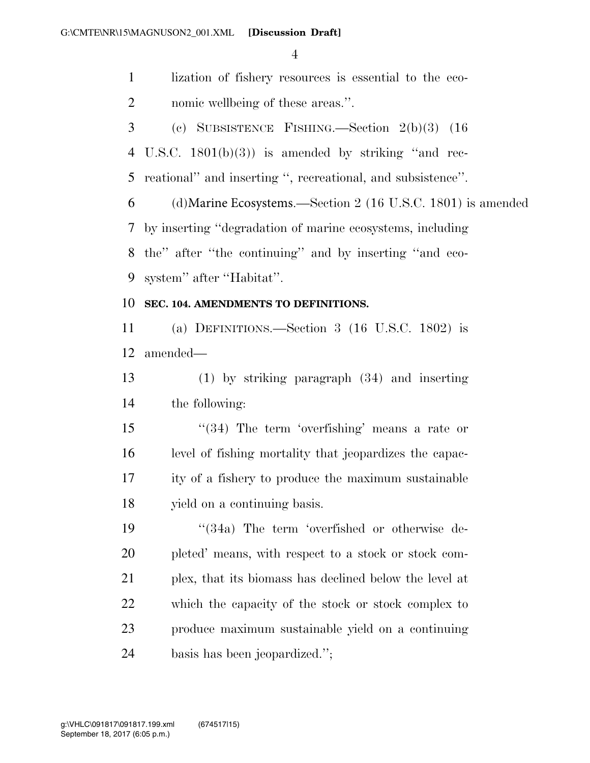lization of fishery resources is essential to the eco-nomic wellbeing of these areas.''.

 (c) SUBSISTENCE FISHING.—Section 2(b)(3) (16 U.S.C. 1801(b)(3)) is amended by striking ''and rec-

reational'' and inserting '', recreational, and subsistence''.

 (d)Marine Ecosystems.—Section 2 (16 U.S.C. 1801) is amended by inserting ''degradation of marine ecosystems, including the'' after ''the continuing'' and by inserting ''and eco-system'' after ''Habitat''.

#### **SEC. 104. AMENDMENTS TO DEFINITIONS.**

 (a) DEFINITIONS.—Section 3 (16 U.S.C. 1802) is amended—

 (1) by striking paragraph (34) and inserting the following:

15 ''(34) The term 'overfishing' means a rate or level of fishing mortality that jeopardizes the capac- ity of a fishery to produce the maximum sustainable yield on a continuing basis.

19 ''(34a) The term 'overfished or otherwise de- pleted' means, with respect to a stock or stock com- plex, that its biomass has declined below the level at which the capacity of the stock or stock complex to produce maximum sustainable yield on a continuing basis has been jeopardized.'';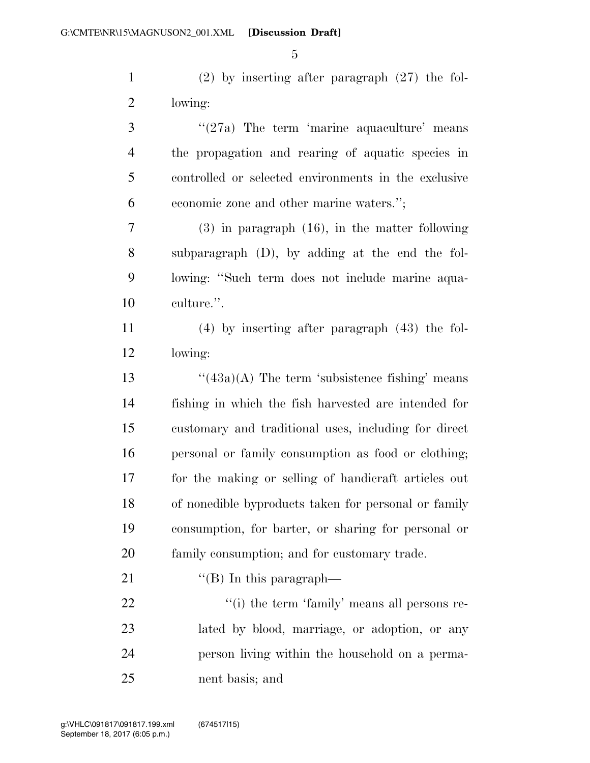(2) by inserting after paragraph (27) the fol-lowing:

3 ''(27a) The term 'marine aquaculture' means the propagation and rearing of aquatic species in controlled or selected environments in the exclusive economic zone and other marine waters.''; (3) in paragraph (16), in the matter following subparagraph (D), by adding at the end the fol- lowing: ''Such term does not include marine aqua- culture.''. (4) by inserting after paragraph (43) the fol-

lowing:

 $\frac{4}{3a}(43a)(A)$  The term 'subsistence fishing' means fishing in which the fish harvested are intended for customary and traditional uses, including for direct personal or family consumption as food or clothing; for the making or selling of handicraft articles out of nonedible byproducts taken for personal or family consumption, for barter, or sharing for personal or family consumption; and for customary trade.

21  $\text{``(B)}$  In this paragraph—

 $\frac{1}{2}$  (i) the term 'family' means all persons re- lated by blood, marriage, or adoption, or any person living within the household on a perma-nent basis; and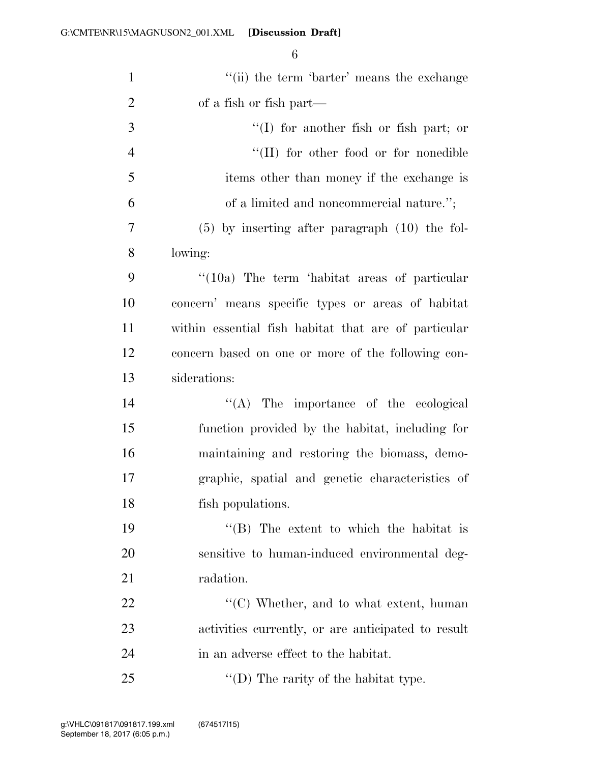| $\mathbf{1}$   | "(ii) the term 'barter' means the exchange           |
|----------------|------------------------------------------------------|
| $\overline{2}$ | of a fish or fish part—                              |
| 3              | $\lq(1)$ for another fish or fish part; or           |
| $\overline{4}$ | "(II) for other food or for nonedible                |
| 5              | items other than money if the exchange is            |
| 6              | of a limited and noncommercial nature.";             |
| 7              | $(5)$ by inserting after paragraph $(10)$ the fol-   |
| 8              | lowing:                                              |
| 9              | "(10a) The term 'habitat areas of particular         |
| 10             | concern' means specific types or areas of habitat    |
| 11             | within essential fish habitat that are of particular |
| 12             | concern based on one or more of the following con-   |
| 13             | siderations:                                         |
| 14             | $\lq\lq$ . The importance of the ecological          |
| 15             | function provided by the habitat, including for      |
| 16             | maintaining and restoring the biomass, demo-         |
| 17             | graphic, spatial and genetic characteristics of      |
| 18             | fish populations.                                    |
| 19             | "(B) The extent to which the habitat is              |
| 20             | sensitive to human-induced environmental deg-        |
| 21             | radation.                                            |
| 22             | $\lq\lq$ (C) Whether, and to what extent, human      |
| 23             | activities currently, or are anticipated to result   |
| 24             | in an adverse effect to the habitat.                 |
| 25             | "(D) The rarity of the habitat type.                 |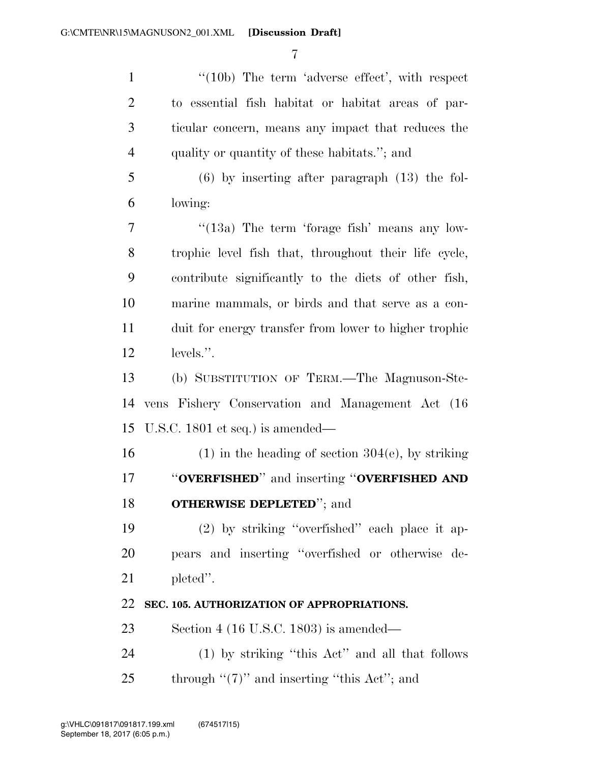1 "(10b) The term 'adverse effect', with respect to essential fish habitat or habitat areas of par- ticular concern, means any impact that reduces the quality or quantity of these habitats.''; and (6) by inserting after paragraph (13) the fol- lowing:  $7 \t$  "(13a) The term 'forage fish' means any low- trophic level fish that, throughout their life cycle, contribute significantly to the diets of other fish, marine mammals, or birds and that serve as a con- duit for energy transfer from lower to higher trophic 12 levels.". (b) SUBSTITUTION OF TERM.—The Magnuson-Ste- vens Fishery Conservation and Management Act (16 U.S.C. 1801 et seq.) is amended— 16 (1) in the heading of section  $304(e)$ , by striking ''**OVERFISHED**'' and inserting ''**OVERFISHED AND OTHERWISE DEPLETED**''; and (2) by striking ''overfished'' each place it ap- pears and inserting ''overfished or otherwise de- pleted''. **SEC. 105. AUTHORIZATION OF APPROPRIATIONS.**  Section 4 (16 U.S.C. 1803) is amended— (1) by striking ''this Act'' and all that follows 25 through  $\lq(7)$ " and inserting "this Act"; and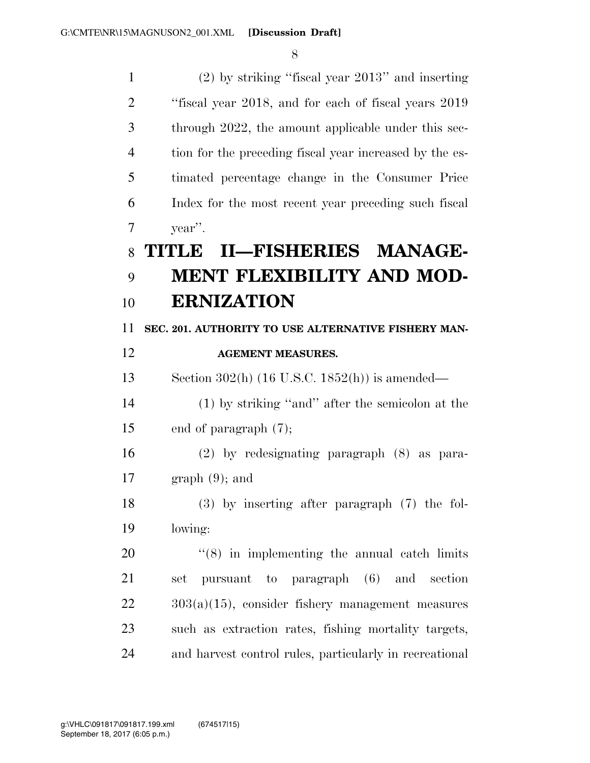| $\mathbf{1}$   | $(2)$ by striking "fiscal year $2013$ " and inserting   |
|----------------|---------------------------------------------------------|
| $\overline{2}$ | "fiscal year 2018, and for each of fiscal years 2019    |
| 3              | through 2022, the amount applicable under this sec-     |
| $\overline{4}$ | tion for the preceding fiscal year increased by the es- |
| 5              | timated percentage change in the Consumer Price         |
| 6              | Index for the most recent year preceding such fiscal    |
| 7              | year".                                                  |
| 8              | II-FISHERIES MANAGE-<br>TITULE                          |
| 9              | <b>MENT FLEXIBILITY AND MOD-</b>                        |
| 10             | <b>ERNIZATION</b>                                       |
| 11             | SEC. 201. AUTHORITY TO USE ALTERNATIVE FISHERY MAN-     |
| 12             | <b>AGEMENT MEASURES.</b>                                |
| 13             | Section $302(h)$ (16 U.S.C. 1852(h)) is amended—        |
| 14             | $(1)$ by striking "and" after the semicolon at the      |
| 15             | end of paragraph $(7)$ ;                                |
| 16             | $(2)$ by redesignating paragraph $(8)$ as para-         |
| 17             | $graph(9)$ ; and                                        |
| 18             | $(3)$ by inserting after paragraph $(7)$ the fol-       |
| 19             | lowing:                                                 |
| 20             | $(8)$ in implementing the annual catch limits           |
| 21             | pursuant to paragraph (6) and<br>section<br>set         |
| 22             | $303(a)(15)$ , consider fishery management measures     |
| 23             | such as extraction rates, fishing mortality targets,    |
| 24             | and harvest control rules, particularly in recreational |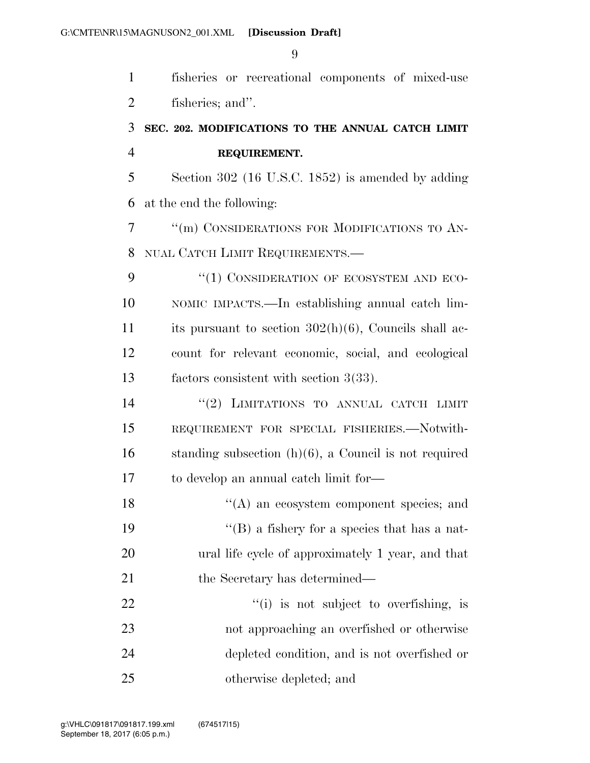fisheries or recreational components of mixed-use fisheries; and''.

## **SEC. 202. MODIFICATIONS TO THE ANNUAL CATCH LIMIT REQUIREMENT.**

 Section 302 (16 U.S.C. 1852) is amended by adding at the end the following:

 ''(m) CONSIDERATIONS FOR MODIFICATIONS TO AN-NUAL CATCH LIMIT REQUIREMENTS.—

9 "(1) CONSIDERATION OF ECOSYSTEM AND ECO- NOMIC IMPACTS.—In establishing annual catch lim- its pursuant to section 302(h)(6), Councils shall ac- count for relevant economic, social, and ecological factors consistent with section 3(33).

 $(2)$  LIMITATIONS TO ANNUAL CATCH LIMIT REQUIREMENT FOR SPECIAL FISHERIES.—Notwith-16 standing subsection  $(h)(6)$ , a Council is not required to develop an annual catch limit for—

18 ''(A) an ecosystem component species; and ''(B) a fishery for a species that has a nat- ural life cycle of approximately 1 year, and that 21 the Secretary has determined—

 $\frac{1}{2}$   $\frac{1}{2}$   $\frac{1}{2}$  is not subject to overfishing, is not approaching an overfished or otherwise depleted condition, and is not overfished or otherwise depleted; and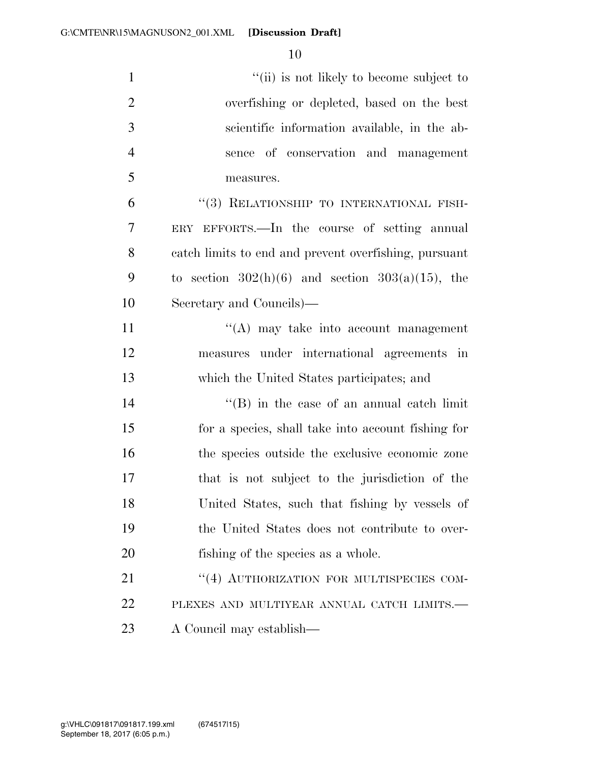| $\mathbf{1}$   | "(ii) is not likely to become subject to              |
|----------------|-------------------------------------------------------|
| $\overline{2}$ | overfishing or depleted, based on the best            |
| 3              | scientific information available, in the ab-          |
| $\overline{4}$ | sence of conservation and management                  |
| 5              | measures.                                             |
| 6              | "(3) RELATIONSHIP TO INTERNATIONAL FISH-              |
| $\tau$         | ERY EFFORTS.—In the course of setting annual          |
| 8              | catch limits to end and prevent overfishing, pursuant |
| 9              | to section $302(h)(6)$ and section $303(a)(15)$ , the |
| 10             | Secretary and Councils)—                              |
| 11             | $\lq\lq$ may take into account management             |
| 12             | measures under international agreements in            |
| 13             | which the United States participates; and             |
| 14             | $\lq\lq$ (B) in the case of an annual catch limit     |
| 15             | for a species, shall take into account fishing for    |
| 16             | the species outside the exclusive economic zone       |
| 17             | that is not subject to the jurisdiction of the        |
| 18             | United States, such that fishing by vessels of        |
| 19             | the United States does not contribute to over-        |
| 20             | fishing of the species as a whole.                    |
| 21             | "(4) AUTHORIZATION FOR MULTISPECIES COM-              |
| 22             | PLEXES AND MULTIYEAR ANNUAL CATCH LIMITS.-            |
| 23             | A Council may establish—                              |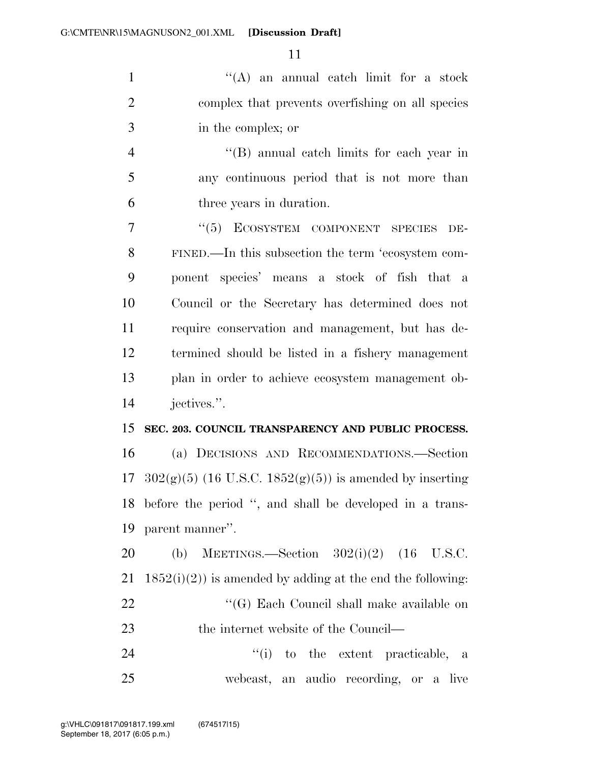1 ''(A) an annual catch limit for a stock 2 complex that prevents overfishing on all species 3 in the complex; or

4 ''(B) annual catch limits for each year in 5 any continuous period that is not more than 6 three years in duration.

7 "(5) ECOSYSTEM COMPONENT SPECIES DE-8 9 10 11 12 13 FINED.—In this subsection the term 'ecosystem component species' means a stock of fish that a Council or the Secretary has determined does not require conservation and management, but has determined should be listed in a fishery management plan in order to achieve ecosystem management ob-14 jectives.''.

#### 15 **SEC. 203. COUNCIL TRANSPARENCY AND PUBLIC PROCESS.**

 (a) DECISIONS AND RECOMMENDATIONS.—Section  $302(g)(5)$  (16 U.S.C. 1852(g)(5)) is amended by inserting before the period '', and shall be developed in a trans-parent manner''.

20 (b) MEETINGS.—Section 302(i)(2) (16 U.S.C. 21  $1852(i)(2)$  is amended by adding at the end the following: 22 "'(G) Each Council shall make available on 23 the internet website of the Council—

24  $(i)$  to the extent practicable, a 25 webcast, an audio recording, or a live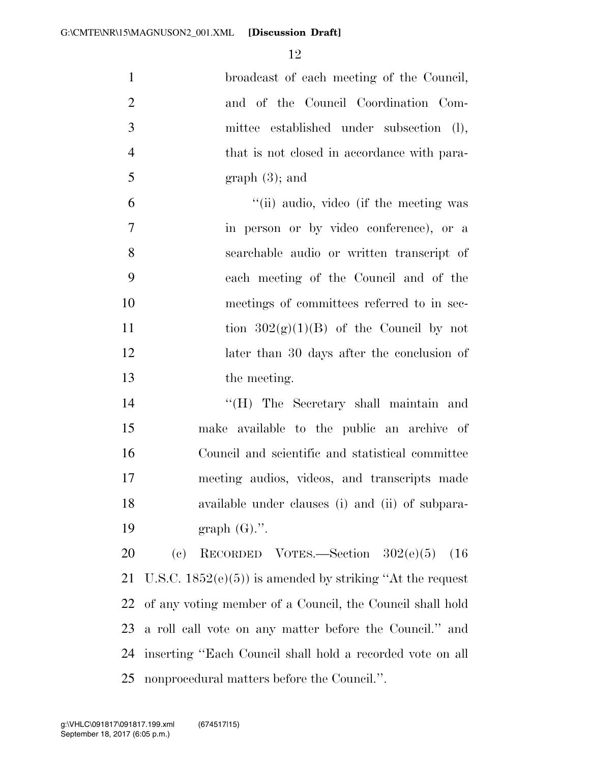| $\mathbf{1}$   | broadcast of each meeting of the Council,                                 |
|----------------|---------------------------------------------------------------------------|
| $\overline{2}$ | and of the Council Coordination Com-                                      |
| 3              | mittee established under subsection (l),                                  |
| $\overline{4}$ | that is not closed in accordance with para-                               |
| 5              | graph(3); and                                                             |
| 6              | "(ii) audio, video (if the meeting was                                    |
| $\tau$         | in person or by video conference), or a                                   |
| 8              | searchable audio or written transcript of                                 |
| 9              | each meeting of the Council and of the                                    |
| 10             | meetings of committees referred to in sec-                                |
| 11             | tion $302(g)(1)(B)$ of the Council by not                                 |
| 12             | later than 30 days after the conclusion of                                |
| 13             | the meeting.                                                              |
| 14             | "(H) The Secretary shall maintain and                                     |
| 15             | make available to the public an archive of                                |
| 16             | Council and scientific and statistical committee                          |
| 17             | meeting audios, videos, and transcripts made                              |
| 18             | available under clauses (i) and (ii) of subpara-                          |
| 19             | graph $(G)$ .".                                                           |
| 20             | $\left( \mathrm{e}\right)$<br>RECORDED VOTES.—Section $302(e)(5)$<br>(16) |
| 21             | U.S.C. $1852(e)(5)$ is amended by striking "At the request"               |
| 22             | of any voting member of a Council, the Council shall hold                 |
| 23             | a roll call vote on any matter before the Council." and                   |
| 24             | inserting "Each Council shall hold a recorded vote on all                 |

nonprocedural matters before the Council.''.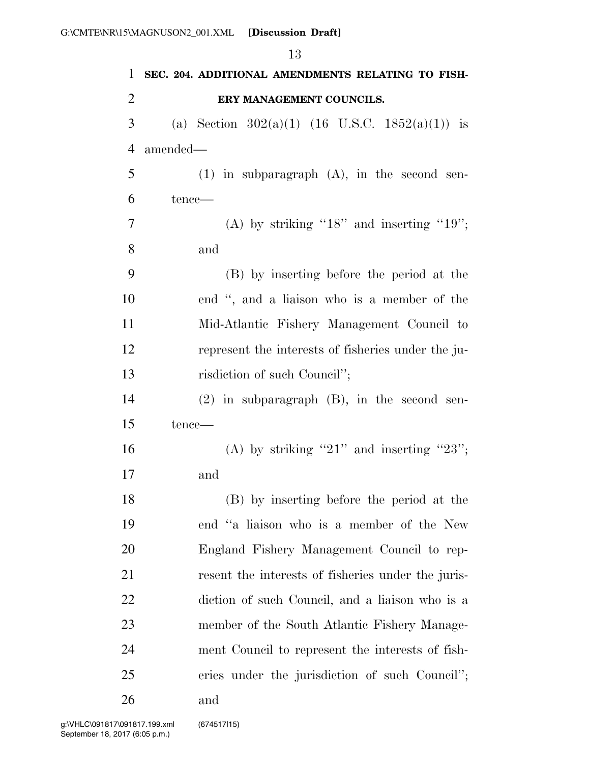|                |          | 13                                                 |
|----------------|----------|----------------------------------------------------|
| 1              |          | SEC. 204. ADDITIONAL AMENDMENTS RELATING TO FISH-  |
| $\overline{2}$ |          | ERY MANAGEMENT COUNCILS.                           |
| 3              |          | (a) Section $302(a)(1)$ (16 U.S.C. 1852(a)(1)) is  |
| $\overline{4}$ | amended- |                                                    |
| 5              |          | $(1)$ in subparagraph $(A)$ , in the second sen-   |
| 6              | tence—   |                                                    |
| 7              |          | (A) by striking " $18$ " and inserting " $19$ ";   |
| 8              |          | and                                                |
| 9              |          | (B) by inserting before the period at the          |
| 10             |          | end ", and a liaison who is a member of the        |
| 11             |          | Mid-Atlantic Fishery Management Council to         |
| 12             |          | represent the interests of fisheries under the ju- |
| 13             |          | risdiction of such Council";                       |
| 14             |          | $(2)$ in subparagraph $(B)$ , in the second sen-   |
| 15             | tence—   |                                                    |
| 16             |          | (A) by striking "21" and inserting "23";           |
| 17             |          | and                                                |
| 18             |          | (B) by inserting before the period at the          |
| 19             |          | end "a liaison who is a member of the New          |
| 20             |          | England Fishery Management Council to rep-         |
| 21             |          | resent the interests of fisheries under the juris- |
| 22             |          | diction of such Council, and a liaison who is a    |
| 23             |          | member of the South Atlantic Fishery Manage-       |
| 24             |          | ment Council to represent the interests of fish-   |
| 25             |          | eries under the jurisdiction of such Council";     |
| 26             |          | and                                                |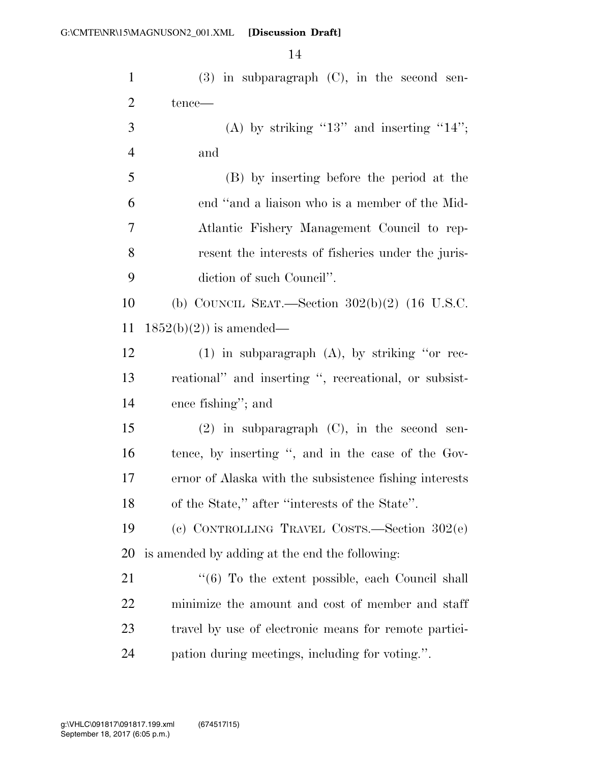| $\mathbf{1}$   | $(3)$ in subparagraph $(C)$ , in the second sen-       |
|----------------|--------------------------------------------------------|
| $\overline{2}$ | tence—                                                 |
| 3              | (A) by striking "13" and inserting "14";               |
| $\overline{4}$ | and                                                    |
| 5              | (B) by inserting before the period at the              |
| 6              | end "and a liaison who is a member of the Mid-         |
| 7              | Atlantic Fishery Management Council to rep-            |
| 8              | resent the interests of fisheries under the juris-     |
| 9              | diction of such Council".                              |
| 10             | (b) COUNCIL SEAT.—Section $302(b)(2)$ (16 U.S.C.       |
| 11             | $1852(b)(2)$ is amended—                               |
| 12             | $(1)$ in subparagraph $(A)$ , by striking "or rec-     |
| 13             | reational" and inserting ", recreational, or subsist-  |
| 14             | ence fishing"; and                                     |
| 15             | $(2)$ in subparagraph $(C)$ , in the second sen-       |
| 16             | tence, by inserting ", and in the case of the Gov-     |
| 17             | ernor of Alaska with the subsistence fishing interests |
| 18             | of the State," after "interests of the State".         |
| 19             | (c) CONTROLLING TRAVEL COSTS.—Section $302(e)$         |
| 20             | is amended by adding at the end the following:         |
| 21             | "(6) To the extent possible, each Council shall        |
| 22             | minimize the amount and cost of member and staff       |
| 23             | travel by use of electronic means for remote partici-  |
| 24             | pation during meetings, including for voting.".        |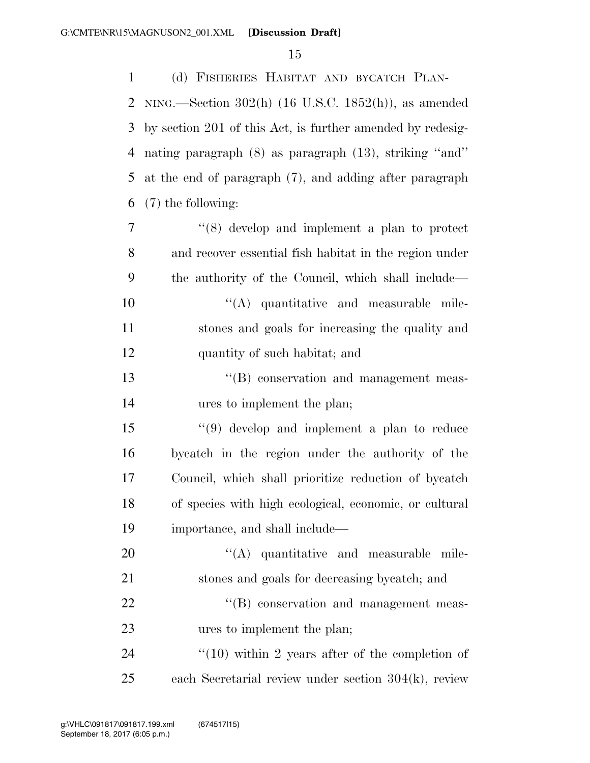(d) FISHERIES HABITAT AND BYCATCH PLAN- NING.—Section 302(h) (16 U.S.C. 1852(h)), as amended by section 201 of this Act, is further amended by redesig- nating paragraph (8) as paragraph (13), striking ''and'' at the end of paragraph (7), and adding after paragraph (7) the following:

 ''(8) develop and implement a plan to protect and recover essential fish habitat in the region under the authority of the Council, which shall include—  $\langle (A)$  quantitative and measurable mile- stones and goals for increasing the quality and quantity of such habitat; and

13  $\cdot$  ''(B) conservation and management meas-ures to implement the plan;

 ''(9) develop and implement a plan to reduce bycatch in the region under the authority of the Council, which shall prioritize reduction of bycatch of species with high ecological, economic, or cultural importance, and shall include—

 $\langle (A)$  quantitative and measurable mile- stones and goals for decreasing bycatch; and  $\text{``(B)}$  conservation and management meas-ures to implement the plan;

24  $\frac{1}{10}$  within 2 years after of the completion of each Secretarial review under section 304(k), review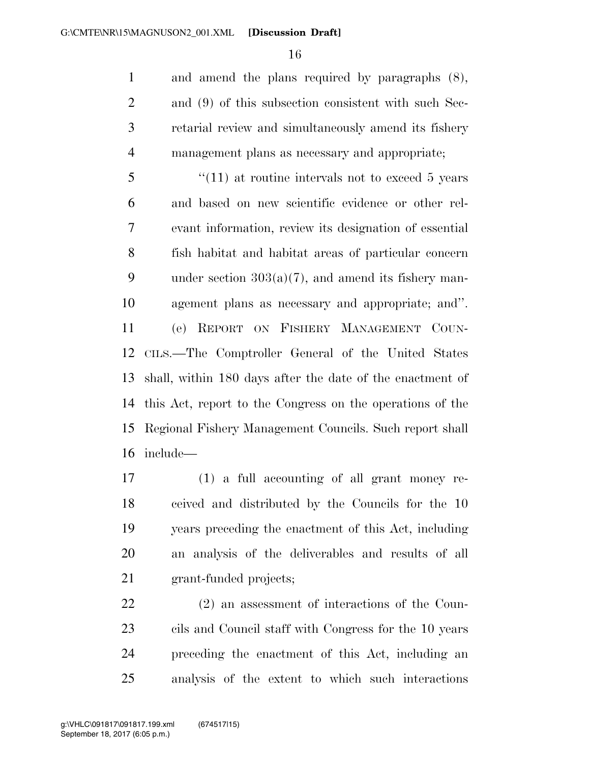and amend the plans required by paragraphs (8), and (9) of this subsection consistent with such Sec- retarial review and simultaneously amend its fishery management plans as necessary and appropriate;

5 "(11) at routine intervals not to exceed 5 years and based on new scientific evidence or other rel- evant information, review its designation of essential fish habitat and habitat areas of particular concern 9 under section  $303(a)(7)$ , and amend its fishery man- agement plans as necessary and appropriate; and''. (e) REPORT ON FISHERY MANAGEMENT COUN- CILS.—The Comptroller General of the United States shall, within 180 days after the date of the enactment of this Act, report to the Congress on the operations of the Regional Fishery Management Councils. Such report shall include—

 (1) a full accounting of all grant money re- ceived and distributed by the Councils for the 10 years preceding the enactment of this Act, including an analysis of the deliverables and results of all grant-funded projects;

 (2) an assessment of interactions of the Coun- cils and Council staff with Congress for the 10 years preceding the enactment of this Act, including an analysis of the extent to which such interactions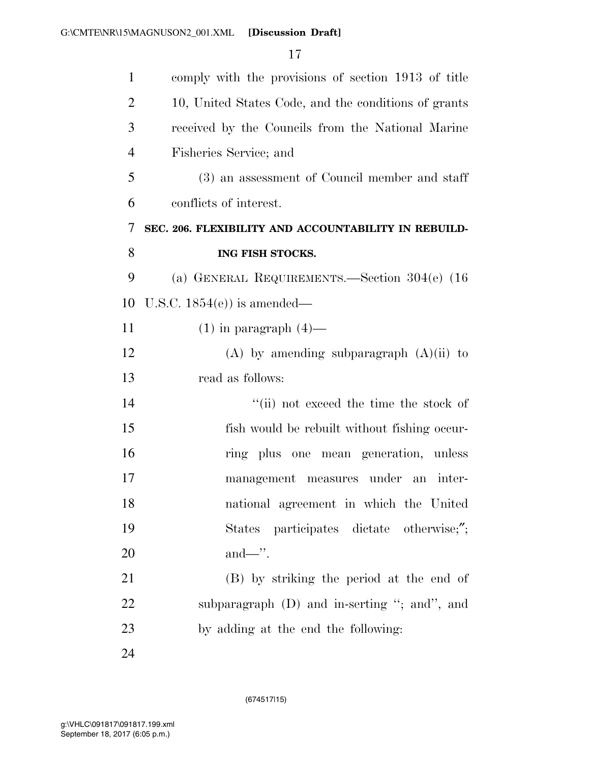| $\mathbf{1}$   | comply with the provisions of section 1913 of title  |
|----------------|------------------------------------------------------|
| $\overline{2}$ | 10, United States Code, and the conditions of grants |
| 3              | received by the Councils from the National Marine    |
| $\overline{4}$ | Fisheries Service; and                               |
| 5              | (3) an assessment of Council member and staff        |
| 6              | conflicts of interest.                               |
| 7              | SEC. 206. FLEXIBILITY AND ACCOUNTABILITY IN REBUILD- |
| 8              | ING FISH STOCKS.                                     |
| 9              | (a) GENERAL REQUIREMENTS.—Section $304(e)$ (16)      |
| 10             | U.S.C. $1854(e)$ is amended—                         |
| 11             | $(1)$ in paragraph $(4)$ —                           |
| 12             | $(A)$ by amending subparagraph $(A)(ii)$ to          |
| 13             | read as follows:                                     |
| 14             | "(ii) not exceed the time the stock of               |
| 15             | fish would be rebuilt without fishing occur-         |
| 16             | ring plus one mean generation, unless                |
| 17             | management measures under an inter-                  |
| 18             | national agreement in which the United               |
| 19             | States participates dictate otherwise;";             |
| 20             |                                                      |
| 21             | (B) by striking the period at the end of             |
| 22             | subparagraph $(D)$ and in-serting "; and", and       |
| 23             | by adding at the end the following:                  |
| 24             |                                                      |

(674517|15)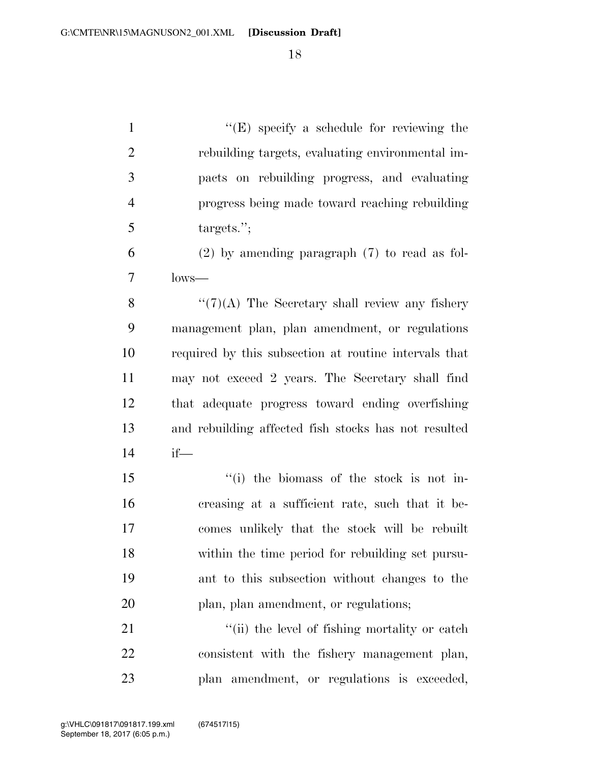| $\mathbf{1}$   | $\lq\lq(E)$ specify a schedule for reviewing the      |
|----------------|-------------------------------------------------------|
| $\overline{2}$ | rebuilding targets, evaluating environmental im-      |
| $\mathfrak{Z}$ | pacts on rebuilding progress, and evaluating          |
| $\overline{4}$ | progress being made toward reaching rebuilding        |
| 5              | targets.";                                            |
| 6              | $(2)$ by amending paragraph $(7)$ to read as fol-     |
| 7              | $lows$ —                                              |
| 8              | $``(7)(A)$ The Secretary shall review any fishery     |
| 9              | management plan, plan amendment, or regulations       |
| 10             | required by this subsection at routine intervals that |
| 11             | may not exceed 2 years. The Secretary shall find      |
| 12             | that adequate progress toward ending overfishing      |
| 13             | and rebuilding affected fish stocks has not resulted  |
| 14             | $if$ —                                                |
| 15             | "(i) the biomass of the stock is not in-              |
| 16             | creasing at a sufficient rate, such that it be-       |
| 17             | comes unlikely that the stock will be rebuilt         |
| 18             | within the time period for rebuilding set pursu-      |
| 19             | ant to this subsection without changes to the         |
| 20             | plan, plan amendment, or regulations;                 |
| 21             | "(ii) the level of fishing mortality or catch         |
| 22             | consistent with the fishery management plan,          |
| 23             | plan amendment, or regulations is exceeded,           |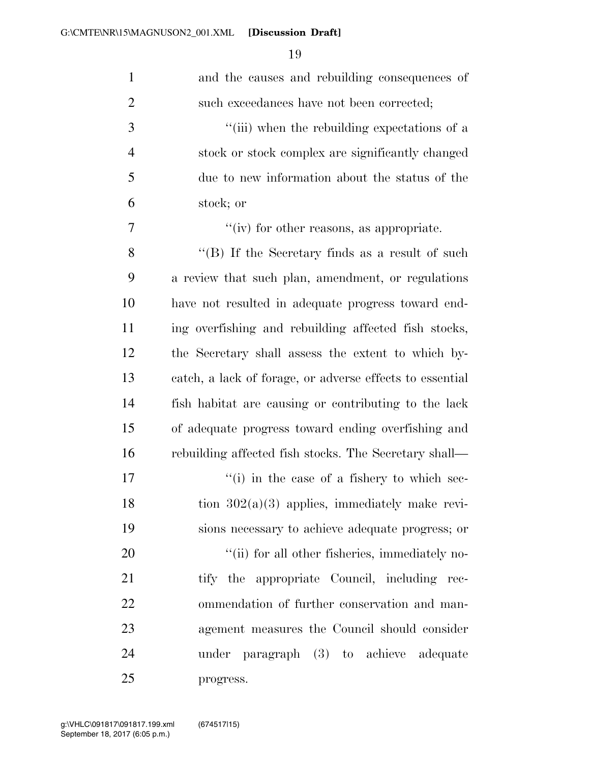| $\mathbf{1}$   | and the causes and rebuilding consequences of            |
|----------------|----------------------------------------------------------|
| $\overline{c}$ | such exceedances have not been corrected;                |
| 3              | "(iii) when the rebuilding expectations of a             |
| $\overline{4}$ | stock or stock complex are significantly changed         |
| 5              | due to new information about the status of the           |
| 6              | stock; or                                                |
| 7              | " $(iv)$ for other reasons, as appropriate.              |
| 8              | "(B) If the Secretary finds as a result of such          |
| 9              | a review that such plan, amendment, or regulations       |
| 10             | have not resulted in adequate progress toward end-       |
| 11             | ing overfishing and rebuilding affected fish stocks,     |
| 12             | the Secretary shall assess the extent to which by-       |
| 13             | catch, a lack of forage, or adverse effects to essential |
| 14             | fish habitat are causing or contributing to the lack     |
| 15             | of adequate progress toward ending overfishing and       |
| 16             | rebuilding affected fish stocks. The Secretary shall—    |
| 17             | "(i) in the case of a fishery to which sec-              |
| 18             | tion $302(a)(3)$ applies, immediately make revi-         |
| 19             | sions necessary to achieve adequate progress; or         |
| 20             | "(ii) for all other fisheries, immediately no-           |
| 21             | tify the appropriate Council, including rec-             |
| 22             | ommendation of further conservation and man-             |
| 23             | agement measures the Council should consider             |
| 24             | under paragraph (3) to achieve adequate                  |
| 25             | progress.                                                |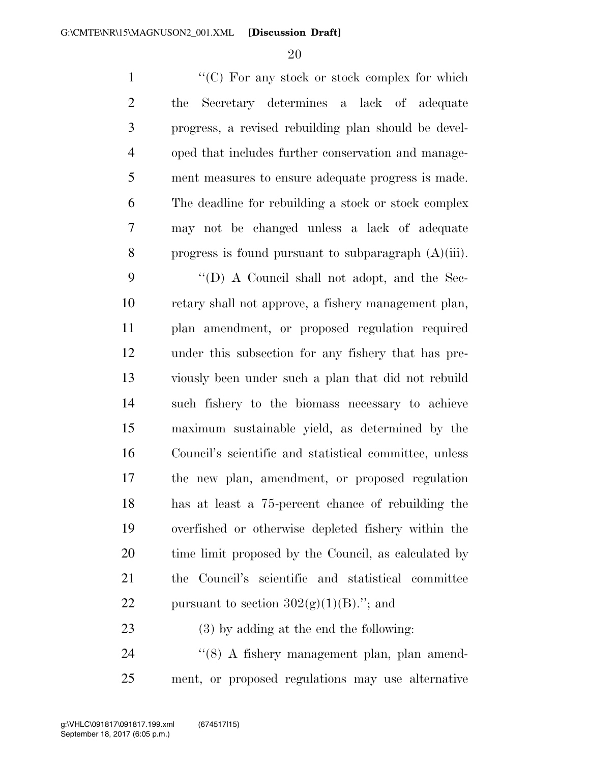1 ''(C) For any stock or stock complex for which the Secretary determines a lack of adequate progress, a revised rebuilding plan should be devel- oped that includes further conservation and manage- ment measures to ensure adequate progress is made. The deadline for rebuilding a stock or stock complex may not be changed unless a lack of adequate progress is found pursuant to subparagraph (A)(iii).

 ''(D) A Council shall not adopt, and the Sec- retary shall not approve, a fishery management plan, plan amendment, or proposed regulation required under this subsection for any fishery that has pre- viously been under such a plan that did not rebuild such fishery to the biomass necessary to achieve maximum sustainable yield, as determined by the Council's scientific and statistical committee, unless the new plan, amendment, or proposed regulation has at least a 75-percent chance of rebuilding the overfished or otherwise depleted fishery within the 20 time limit proposed by the Council, as calculated by the Council's scientific and statistical committee 22 pursuant to section  $302(g)(1)(B)$ ."; and

(3) by adding at the end the following:

24 "(8) A fishery management plan, plan amend-ment, or proposed regulations may use alternative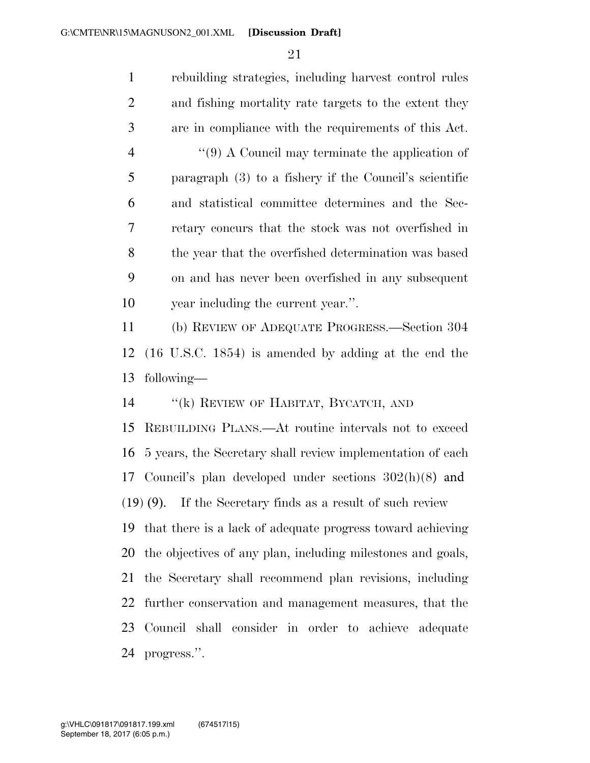rebuilding strategies, including harvest control rules and fishing mortality rate targets to the extent they are in compliance with the requirements of this Act. 4 ''(9) A Council may terminate the application of paragraph (3) to a fishery if the Council's scientific and statistical committee determines and the Sec- retary concurs that the stock was not overfished in the year that the overfished determination was based on and has never been overfished in any subsequent 10 vear including the current year.". (b) REVIEW OF ADEQUATE PROGRESS.—Section 304 (16 U.S.C. 1854) is amended by adding at the end the following— ''(k) REVIEW OF HABITAT, BYCATCH, AND REBUILDING PLANS.—At routine intervals not to exceed 5 years, the Secretary shall review implementation of each Council's plan developed under sections 302(h)(8) and (19) (9). If the Secretary finds as a result of such review that there is a lack of adequate progress toward achieving the objectives of any plan, including milestones and goals, the Secretary shall recommend plan revisions, including further conservation and management measures, that the Council shall consider in order to achieve adequate

progress.''.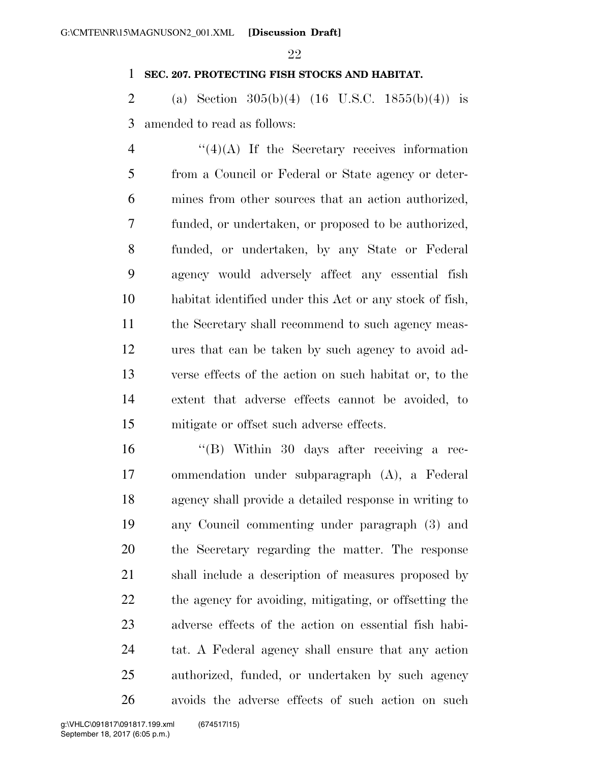### **SEC. 207. PROTECTING FISH STOCKS AND HABITAT.**

2 (a) Section  $305(b)(4)$  (16 U.S.C. 1855(b)(4)) is amended to read as follows:

 ''(4)(A) If the Secretary receives information from a Council or Federal or State agency or deter- mines from other sources that an action authorized, funded, or undertaken, or proposed to be authorized, funded, or undertaken, by any State or Federal agency would adversely affect any essential fish habitat identified under this Act or any stock of fish, the Secretary shall recommend to such agency meas- ures that can be taken by such agency to avoid ad- verse effects of the action on such habitat or, to the extent that adverse effects cannot be avoided, to mitigate or offset such adverse effects.

 ''(B) Within 30 days after receiving a rec- ommendation under subparagraph (A), a Federal agency shall provide a detailed response in writing to any Council commenting under paragraph (3) and the Secretary regarding the matter. The response shall include a description of measures proposed by 22 the agency for avoiding, mitigating, or offsetting the adverse effects of the action on essential fish habi- tat. A Federal agency shall ensure that any action authorized, funded, or undertaken by such agency avoids the adverse effects of such action on such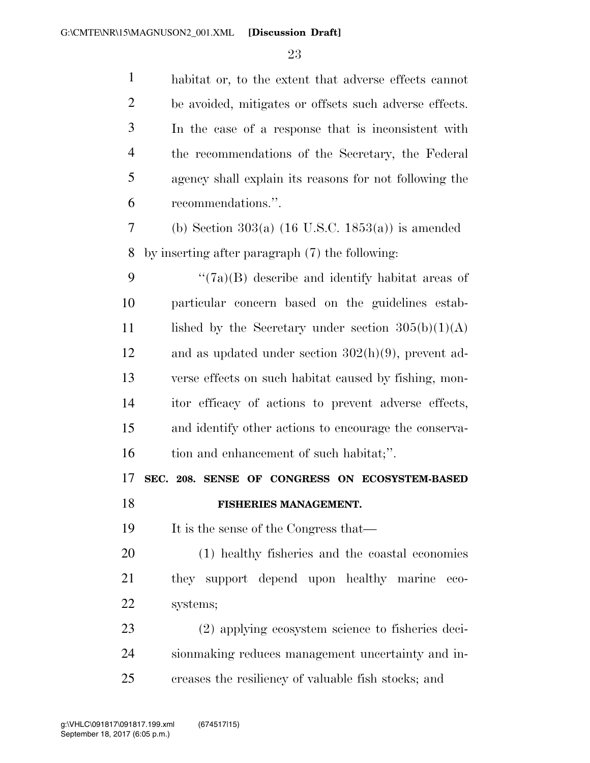| $\mathbf{1}$   | habitat or, to the extent that adverse effects cannot  |
|----------------|--------------------------------------------------------|
| $\overline{2}$ | be avoided, mitigates or offsets such adverse effects. |
| 3              | In the case of a response that is inconsistent with    |
| $\overline{4}$ | the recommendations of the Secretary, the Federal      |
| 5              | agency shall explain its reasons for not following the |
| 6              | recommendations.".                                     |
| 7              | (b) Section $303(a)$ (16 U.S.C. 1853(a)) is amended    |
| 8              | by inserting after paragraph (7) the following:        |
| 9              | $\lq(7a)(B)$ describe and identify habitat areas of    |
| 10             | particular concern based on the guidelines estab-      |
| 11             | lished by the Secretary under section $305(b)(1)(A)$   |
| 12             | and as updated under section $302(h)(9)$ , prevent ad- |
| 13             | verse effects on such habitat caused by fishing, mon-  |
| 14             | itor efficacy of actions to prevent adverse effects,   |
| 15             | and identify other actions to encourage the conserva-  |
| 16             | tion and enhancement of such habitat;".                |
| 17             | SEC. 208. SENSE OF CONGRESS ON ECOSYSTEM-BASED         |
| 18             | FISHERIES MANAGEMENT.                                  |
| 19             | It is the sense of the Congress that—                  |
| 20             | (1) healthy fisheries and the coastal economies        |
| 21             | they support depend upon healthy marine<br>eco-        |
| 22             | systems;                                               |
| 23             | (2) applying ecosystem science to fisheries deci-      |
| 24             | sionmaking reduces management uncertainty and in-      |
| 25             | creases the resiliency of valuable fish stocks; and    |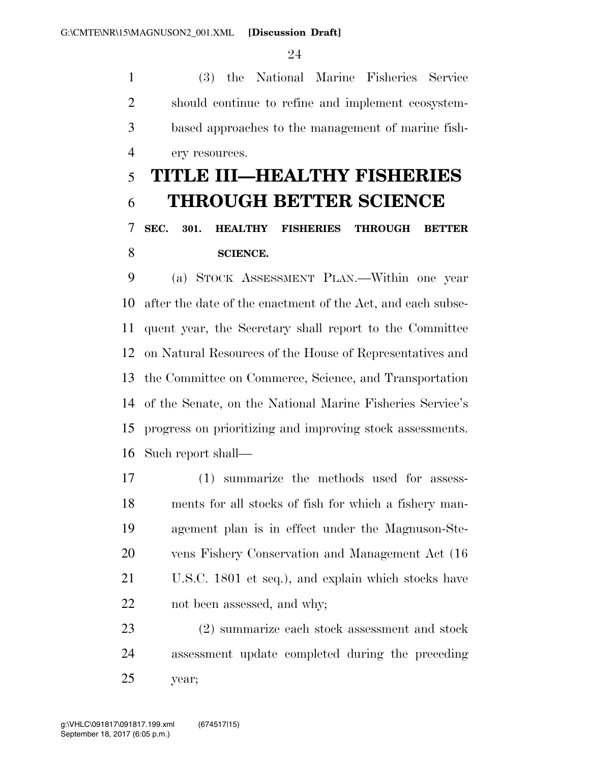G:\CMTE\NR\15\MAGNUSON2\_001.XML [Discussion Draft]

 (3) the National Marine Fisheries Service should continue to refine and implement ecosystem- based approaches to the management of marine fish-ery resources.

# **TITLE III—HEALTHY FISHERIES THROUGH BETTER SCIENCE SEC. 301. HEALTHY FISHERIES THROUGH BETTER SCIENCE.**

 (a) STOCK ASSESSMENT PLAN.—Within one year after the date of the enactment of the Act, and each subse- quent year, the Secretary shall report to the Committee on Natural Resources of the House of Representatives and the Committee on Commerce, Science, and Transportation of the Senate, on the National Marine Fisheries Service's progress on prioritizing and improving stock assessments. Such report shall—

 (1) summarize the methods used for assess- ments for all stocks of fish for which a fishery man- agement plan is in effect under the Magnuson-Ste- vens Fishery Conservation and Management Act (16 U.S.C. 1801 et seq.), and explain which stocks have not been assessed, and why;

 (2) summarize each stock assessment and stock assessment update completed during the preceding year;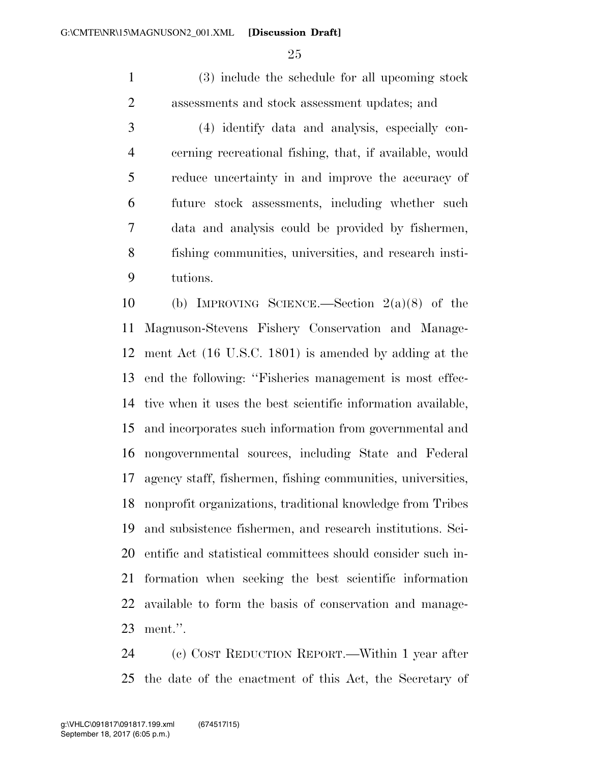(3) include the schedule for all upcoming stock assessments and stock assessment updates; and

 (4) identify data and analysis, especially con- cerning recreational fishing, that, if available, would reduce uncertainty in and improve the accuracy of future stock assessments, including whether such data and analysis could be provided by fishermen, fishing communities, universities, and research insti-tutions.

 (b) IMPROVING SCIENCE.—Section 2(a)(8) of the Magnuson-Stevens Fishery Conservation and Manage- ment Act (16 U.S.C. 1801) is amended by adding at the end the following: ''Fisheries management is most effec- tive when it uses the best scientific information available, and incorporates such information from governmental and nongovernmental sources, including State and Federal agency staff, fishermen, fishing communities, universities, nonprofit organizations, traditional knowledge from Tribes and subsistence fishermen, and research institutions. Sci- entific and statistical committees should consider such in- formation when seeking the best scientific information available to form the basis of conservation and manage-ment.''.

 (c) COST REDUCTION REPORT.—Within 1 year after the date of the enactment of this Act, the Secretary of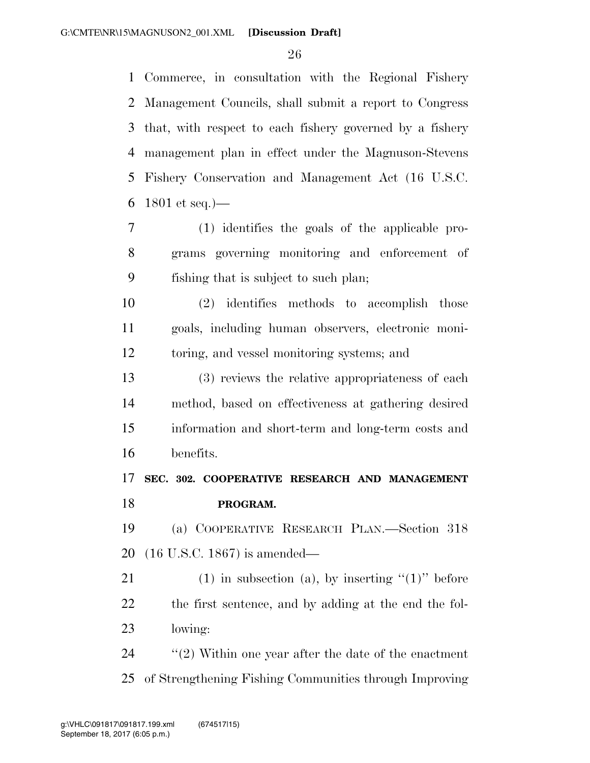Commerce, in consultation with the Regional Fishery Management Councils, shall submit a report to Congress that, with respect to each fishery governed by a fishery management plan in effect under the Magnuson-Stevens Fishery Conservation and Management Act (16 U.S.C. 6 1801 et seq.  $\frac{)}{-}$ 

 (1) identifies the goals of the applicable pro- grams governing monitoring and enforcement of fishing that is subject to such plan;

 (2) identifies methods to accomplish those goals, including human observers, electronic moni-toring, and vessel monitoring systems; and

 (3) reviews the relative appropriateness of each method, based on effectiveness at gathering desired information and short-term and long-term costs and benefits.

### **SEC. 302. COOPERATIVE RESEARCH AND MANAGEMENT PROGRAM.**

 (a) COOPERATIVE RESEARCH PLAN.—Section 318 (16 U.S.C. 1867) is amended—

21 (1) in subsection (a), by inserting  $(1)$ " before the first sentence, and by adding at the end the fol-lowing:

 ''(2) Within one year after the date of the enactment of Strengthening Fishing Communities through Improving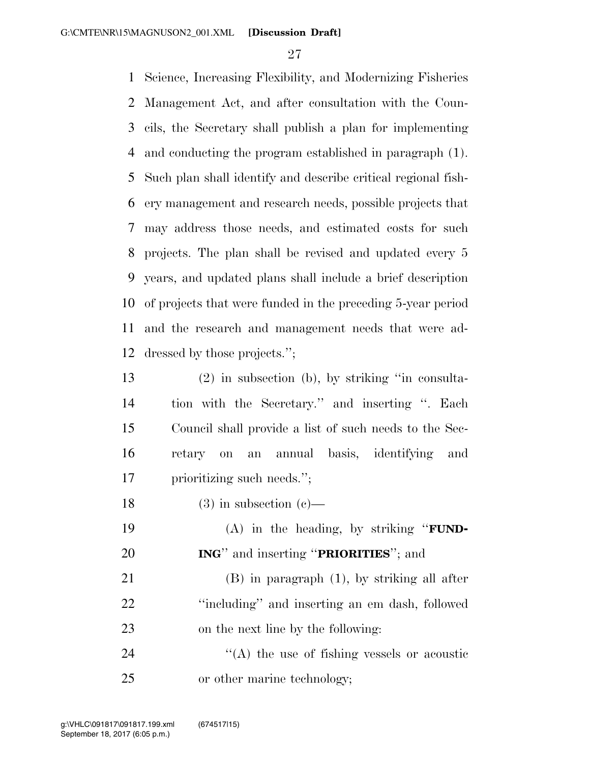Science, Increasing Flexibility, and Modernizing Fisheries Management Act, and after consultation with the Coun- cils, the Secretary shall publish a plan for implementing and conducting the program established in paragraph (1). Such plan shall identify and describe critical regional fish- ery management and research needs, possible projects that may address those needs, and estimated costs for such projects. The plan shall be revised and updated every 5 years, and updated plans shall include a brief description of projects that were funded in the preceding 5-year period and the research and management needs that were ad-dressed by those projects.'';

 (2) in subsection (b), by striking ''in consulta- tion with the Secretary.'' and inserting ''. Each Council shall provide a list of such needs to the Sec- retary on an annual basis, identifying and prioritizing such needs.'';

18 (3) in subsection  $(c)$ —

 (A) in the heading, by striking ''**FUND-ING**'' and inserting ''**PRIORITIES**''; and

 (B) in paragraph (1), by striking all after ''including'' and inserting an em dash, followed on the next line by the following:

24  $\langle (A)$  the use of fishing vessels or acoustic or other marine technology;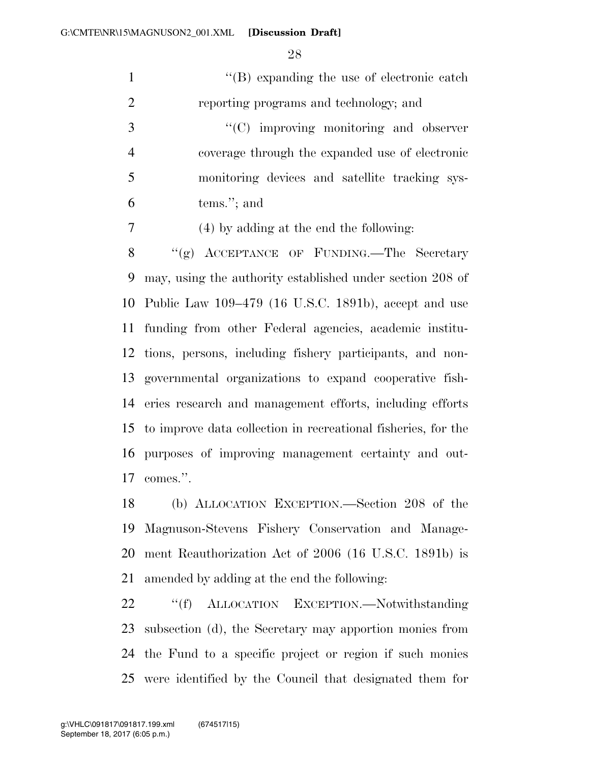1 ''(B) expanding the use of electronic catch reporting programs and technology; and  $\cdot$  (C) improving monitoring and observer coverage through the expanded use of electronic monitoring devices and satellite tracking sys- tems.''; and (4) by adding at the end the following: 8 "(g) ACCEPTANCE OF FUNDING.—The Secretary may, using the authority established under section 208 of

 Public Law 109–479 (16 U.S.C. 1891b), accept and use funding from other Federal agencies, academic institu- tions, persons, including fishery participants, and non- governmental organizations to expand cooperative fish- eries research and management efforts, including efforts to improve data collection in recreational fisheries, for the purposes of improving management certainty and out-comes.''.

 (b) ALLOCATION EXCEPTION.—Section 208 of the Magnuson-Stevens Fishery Conservation and Manage- ment Reauthorization Act of 2006 (16 U.S.C. 1891b) is amended by adding at the end the following:

22 "'(f) ALLOCATION EXCEPTION.—Notwithstanding subsection (d), the Secretary may apportion monies from the Fund to a specific project or region if such monies were identified by the Council that designated them for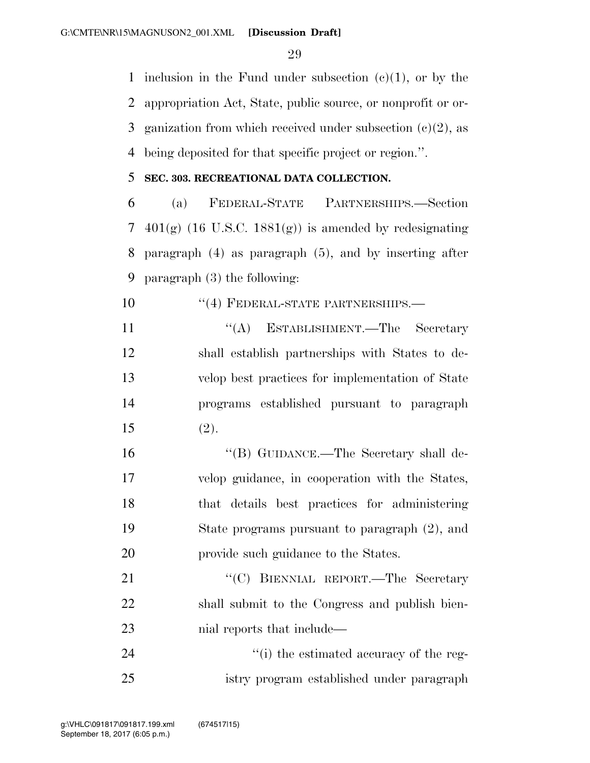inclusion in the Fund under subsection (c)(1), or by the appropriation Act, State, public source, or nonprofit or or-3 ganization from which received under subsection  $(c)(2)$ , as being deposited for that specific project or region.''.

### **SEC. 303. RECREATIONAL DATA COLLECTION.**

 (a) FEDERAL-STATE PARTNERSHIPS.—Section 7 401(g) (16 U.S.C. 1881(g)) is amended by redesignating paragraph (4) as paragraph (5), and by inserting after paragraph (3) the following:

10 "(4) FEDERAL-STATE PARTNERSHIPS.—

11 ''(A) ESTABLISHMENT.—The Secretary shall establish partnerships with States to de- velop best practices for implementation of State programs established pursuant to paragraph (2).

 ''(B) GUIDANCE.—The Secretary shall de- velop guidance, in cooperation with the States, that details best practices for administering State programs pursuant to paragraph (2), and provide such guidance to the States.

21 "'(C) BIENNIAL REPORT.—The Secretary shall submit to the Congress and publish bien-23 nial reports that include—

24  $\frac{1}{2}$  (i) the estimated accuracy of the reg-istry program established under paragraph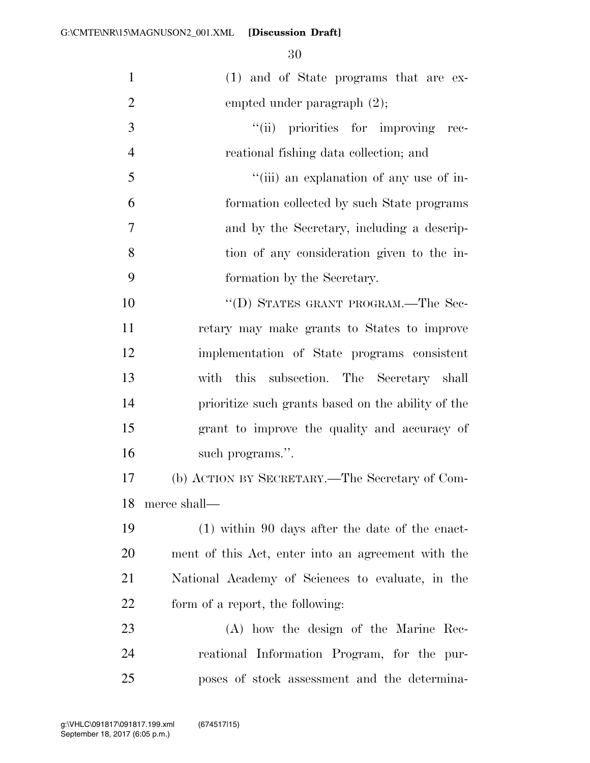| $\mathbf{1}$   | (1) and of State programs that are ex-             |
|----------------|----------------------------------------------------|
| $\overline{2}$ | empted under paragraph $(2)$ ;                     |
| 3              | "(ii) priorities for improving rec-                |
| $\overline{4}$ | reational fishing data collection; and             |
| 5              | "(iii) an explanation of any use of in-            |
| 6              | formation collected by such State programs         |
| $\tau$         | and by the Secretary, including a descrip-         |
| 8              | tion of any consideration given to the in-         |
| 9              | formation by the Secretary.                        |
| 10             | "(D) STATES GRANT PROGRAM.—The Sec-                |
| 11             | retary may make grants to States to improve        |
| 12             | implementation of State programs consistent        |
| 13             | with this subsection. The Secretary shall          |
| 14             | prioritize such grants based on the ability of the |
| 15             | grant to improve the quality and accuracy of       |
| 16             | such programs.".                                   |
| 17             | (b) ACTION BY SECRETARY.—The Secretary of Com-     |
| 18             | merce shall—                                       |
| 19             | $(1)$ within 90 days after the date of the enact-  |
| <b>20</b>      | ment of this Act, enter into an agreement with the |
| 21             | National Academy of Sciences to evaluate, in the   |
| 22             | form of a report, the following:                   |
| 23             | (A) how the design of the Marine Rec-              |
| 24             | reational Information Program, for the pur-        |
| 25             | poses of stock assessment and the determina-       |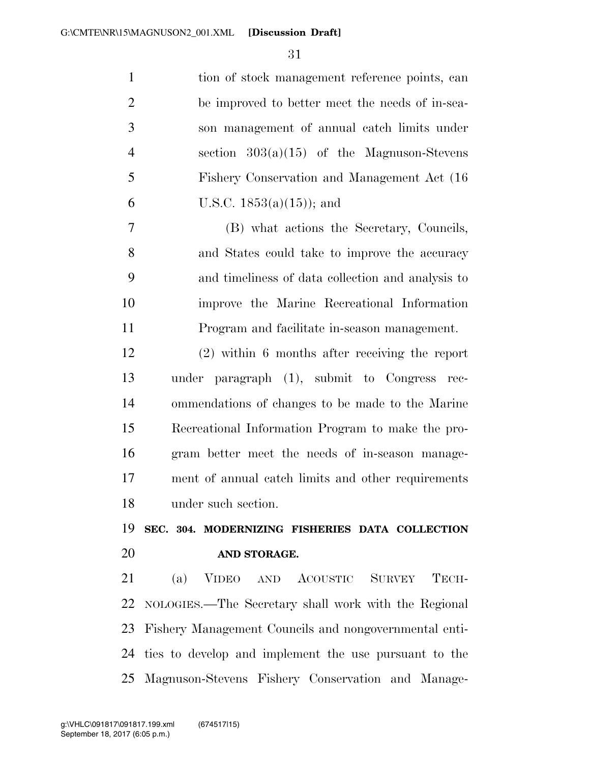| $\mathbf{1}$   | tion of stock management reference points, can        |
|----------------|-------------------------------------------------------|
| $\overline{2}$ | be improved to better meet the needs of in-sea-       |
| 3              | son management of annual catch limits under           |
| $\overline{4}$ | section $303(a)(15)$ of the Magnuson-Stevens          |
| 5              | Fishery Conservation and Management Act (16)          |
| 6              | U.S.C. $1853(a)(15)$ ; and                            |
| 7              | (B) what actions the Secretary, Councils,             |
| 8              | and States could take to improve the accuracy         |
| 9              | and timeliness of data collection and analysis to     |
| 10             | improve the Marine Recreational Information           |
| 11             | Program and facilitate in-season management.          |
| 12             | $(2)$ within 6 months after receiving the report      |
| 13             | under paragraph (1), submit to Congress rec-          |
| 14             | ommendations of changes to be made to the Marine      |
| 15             | Recreational Information Program to make the pro-     |
| 16             | gram better meet the needs of in-season manage-       |
| 17             | ment of annual catch limits and other requirements    |
| 18             | under such section.                                   |
| 19             | SEC. 304. MODERNIZING FISHERIES DATA COLLECTION       |
| 20             | AND STORAGE.                                          |
| 21             | (a) VIDEO AND ACOUSTIC SURVEY<br>TECH-                |
| 22             | NOLOGIES.—The Secretary shall work with the Regional  |
| 23             | Fishery Management Councils and nongovernmental enti- |
| 24             | ties to develop and implement the use pursuant to the |
| 25             | Magnuson-Stevens Fishery Conservation and Manage-     |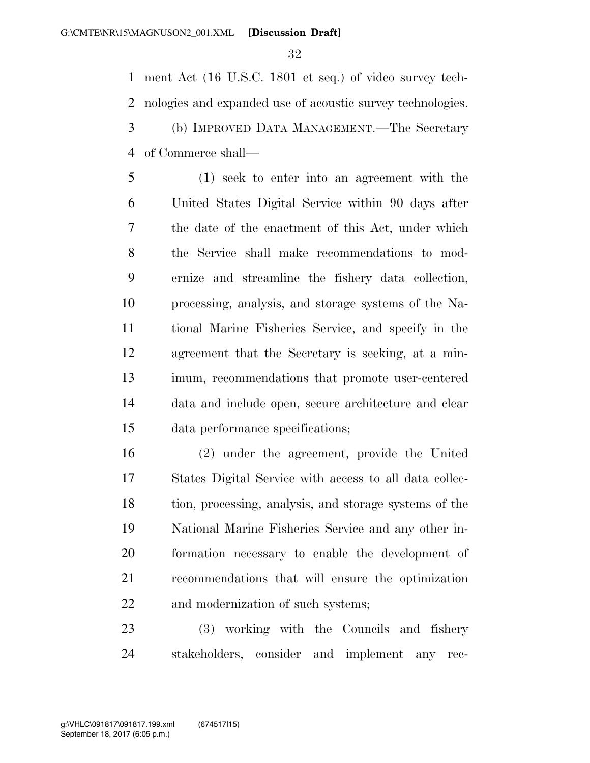ment Act (16 U.S.C. 1801 et seq.) of video survey tech- nologies and expanded use of acoustic survey technologies. (b) IMPROVED DATA MANAGEMENT.—The Secretary of Commerce shall—

 (1) seek to enter into an agreement with the United States Digital Service within 90 days after the date of the enactment of this Act, under which the Service shall make recommendations to mod- ernize and streamline the fishery data collection, processing, analysis, and storage systems of the Na- tional Marine Fisheries Service, and specify in the agreement that the Secretary is seeking, at a min- imum, recommendations that promote user-centered data and include open, secure architecture and clear data performance specifications;

 (2) under the agreement, provide the United States Digital Service with access to all data collec- tion, processing, analysis, and storage systems of the National Marine Fisheries Service and any other in- formation necessary to enable the development of recommendations that will ensure the optimization and modernization of such systems;

 (3) working with the Councils and fishery stakeholders, consider and implement any rec-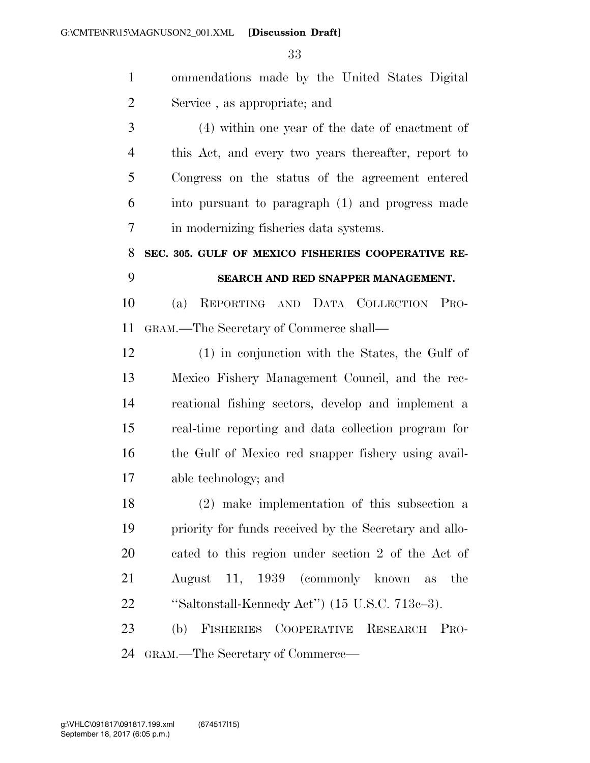ommendations made by the United States Digital Service , as appropriate; and (4) within one year of the date of enactment of

 this Act, and every two years thereafter, report to Congress on the status of the agreement entered into pursuant to paragraph (1) and progress made in modernizing fisheries data systems.

 **SEC. 305. GULF OF MEXICO FISHERIES COOPERATIVE RE-SEARCH AND RED SNAPPER MANAGEMENT.** 

 (a) REPORTING AND DATA COLLECTION PRO-GRAM.—The Secretary of Commerce shall—

 (1) in conjunction with the States, the Gulf of Mexico Fishery Management Council, and the rec- reational fishing sectors, develop and implement a real-time reporting and data collection program for the Gulf of Mexico red snapper fishery using avail-able technology; and

 (2) make implementation of this subsection a priority for funds received by the Secretary and allo- cated to this region under section 2 of the Act of August 11, 1939 (commonly known as the ''Saltonstall-Kennedy Act'') (15 U.S.C. 713c–3).

 (b) FISHERIES COOPERATIVE RESEARCH PRO-GRAM.—The Secretary of Commerce—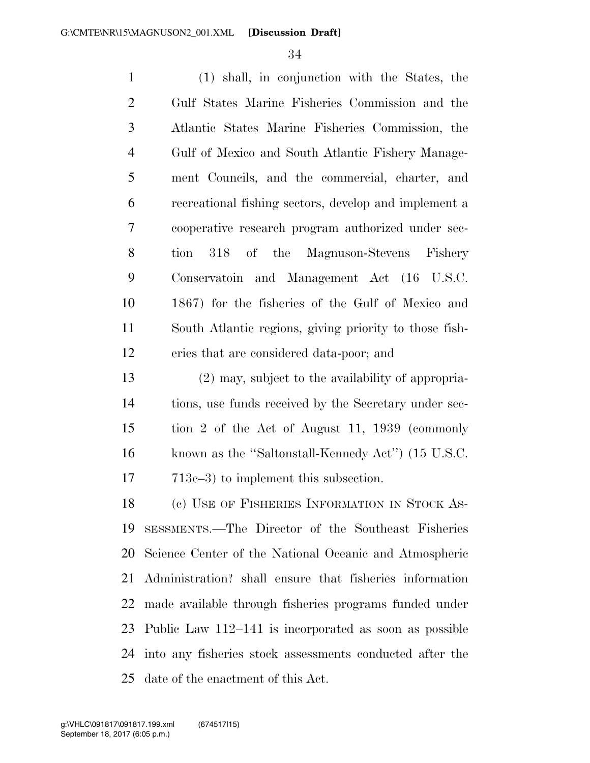(1) shall, in conjunction with the States, the Gulf States Marine Fisheries Commission and the Atlantic States Marine Fisheries Commission, the Gulf of Mexico and South Atlantic Fishery Manage- ment Councils, and the commercial, charter, and recreational fishing sectors, develop and implement a cooperative research program authorized under sec- tion 318 of the Magnuson-Stevens Fishery Conservatoin and Management Act (16 U.S.C. 1867) for the fisheries of the Gulf of Mexico and South Atlantic regions, giving priority to those fish-eries that are considered data-poor; and

 (2) may, subject to the availability of appropria- tions, use funds received by the Secretary under sec- tion 2 of the Act of August 11, 1939 (commonly known as the ''Saltonstall-Kennedy Act'') (15 U.S.C. 17 713c–3) to implement this subsection.

18 (e) USE OF FISHERIES INFORMATION IN STOCK AS- SESSMENTS.—The Director of the Southeast Fisheries Science Center of the National Oceanic and Atmospheric Administration? shall ensure that fisheries information made available through fisheries programs funded under Public Law 112–141 is incorporated as soon as possible into any fisheries stock assessments conducted after the date of the enactment of this Act.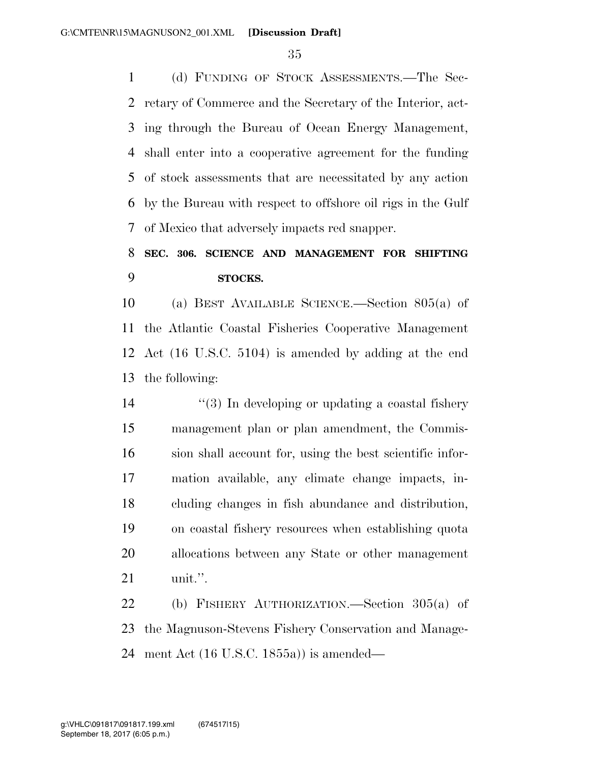(d) FUNDING OF STOCK ASSESSMENTS.—The Sec- retary of Commerce and the Secretary of the Interior, act- ing through the Bureau of Ocean Energy Management, shall enter into a cooperative agreement for the funding of stock assessments that are necessitated by any action by the Bureau with respect to offshore oil rigs in the Gulf of Mexico that adversely impacts red snapper.

## **SEC. 306. SCIENCE AND MANAGEMENT FOR SHIFTING STOCKS.**

 (a) BEST AVAILABLE SCIENCE.—Section 805(a) of the Atlantic Coastal Fisheries Cooperative Management Act (16 U.S.C. 5104) is amended by adding at the end the following:

 $\frac{14}{2}$  ''(3) In developing or updating a coastal fishery management plan or plan amendment, the Commis- sion shall account for, using the best scientific infor- mation available, any climate change impacts, in- cluding changes in fish abundance and distribution, on coastal fishery resources when establishing quota allocations between any State or other management unit.''.

 (b) FISHERY AUTHORIZATION.—Section 305(a) of the Magnuson-Stevens Fishery Conservation and Manage-ment Act (16 U.S.C. 1855a)) is amended—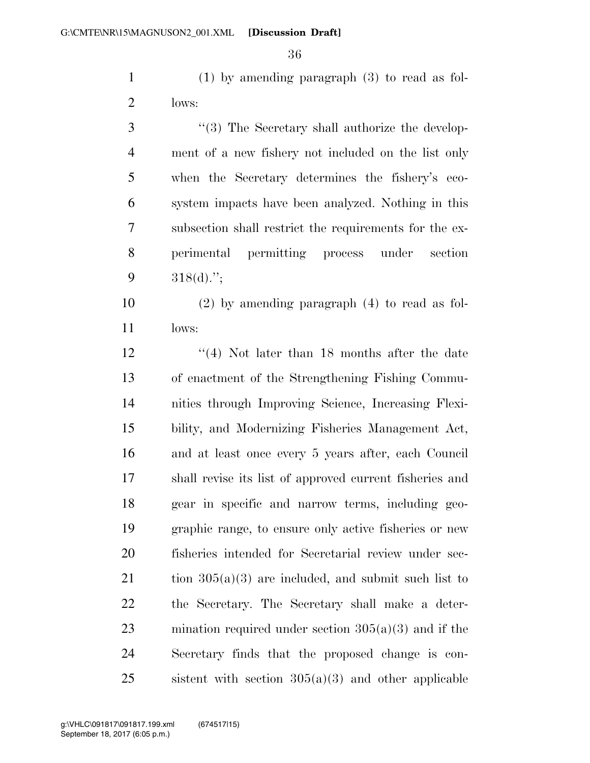(1) by amending paragraph (3) to read as fol-lows:

3 "(3) The Secretary shall authorize the develop- ment of a new fishery not included on the list only when the Secretary determines the fishery's eco- system impacts have been analyzed. Nothing in this subsection shall restrict the requirements for the ex- perimental permitting process under section  $318(d)$ .";

 (2) by amending paragraph (4) to read as fol-lows:

12 ''(4) Not later than 18 months after the date of enactment of the Strengthening Fishing Commu- nities through Improving Science, Increasing Flexi- bility, and Modernizing Fisheries Management Act, and at least once every 5 years after, each Council shall revise its list of approved current fisheries and gear in specific and narrow terms, including geo- graphic range, to ensure only active fisheries or new fisheries intended for Secretarial review under sec-21 tion  $305(a)(3)$  are included, and submit such list to the Secretary. The Secretary shall make a deter- mination required under section 305(a)(3) and if the Secretary finds that the proposed change is con-25 sistent with section  $305(a)(3)$  and other applicable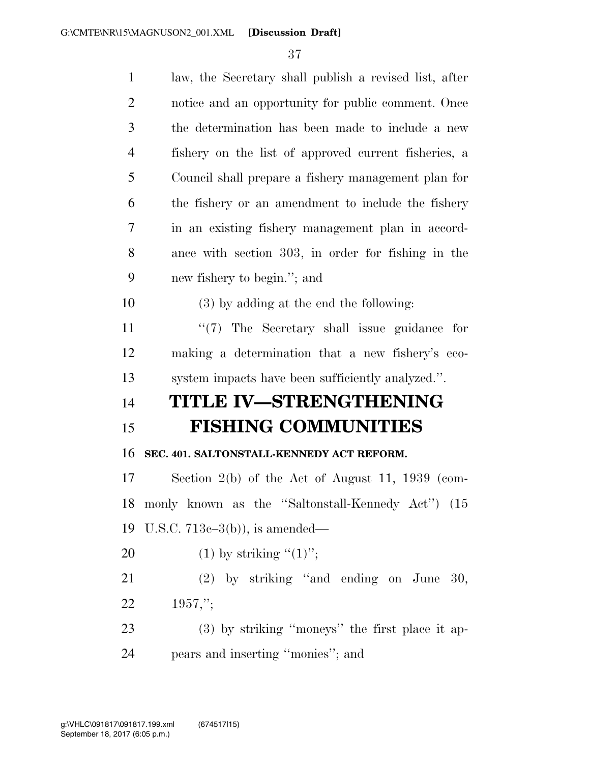| $\mathbf{1}$   | law, the Secretary shall publish a revised list, after |
|----------------|--------------------------------------------------------|
| $\overline{2}$ | notice and an opportunity for public comment. Once     |
| 3              | the determination has been made to include a new       |
| $\overline{4}$ | fishery on the list of approved current fisheries, a   |
| 5              | Council shall prepare a fishery management plan for    |
| 6              | the fishery or an amendment to include the fishery     |
| 7              | in an existing fishery management plan in accord-      |
| 8              | ance with section 303, in order for fishing in the     |
| 9              | new fishery to begin."; and                            |
| 10             | (3) by adding at the end the following:                |
| 11             | "(7) The Secretary shall issue guidance for            |
| 12             | making a determination that a new fishery's eco-       |
|                |                                                        |
| 13             | system impacts have been sufficiently analyzed.".      |
|                | TITLE IV-STRENGTHENING                                 |
|                | <b>FISHING COMMUNITIES</b>                             |
| 14<br>15<br>16 | SEC. 401. SALTONSTALL-KENNEDY ACT REFORM.              |
| 17             | Section $2(b)$ of the Act of August 11, 1939 (com-     |
| 18             | monly known as the "Saltonstall-Kennedy Act") (15      |
| 19             | U.S.C. $713c-3(b)$ , is amended—                       |
| 20             | (1) by striking " $(1)$ ";                             |
| 21             | $(2)$ by striking "and ending on June 30,              |
| 22             | $1957$ ,";                                             |
| 23             | $(3)$ by striking "moneys" the first place it ap-      |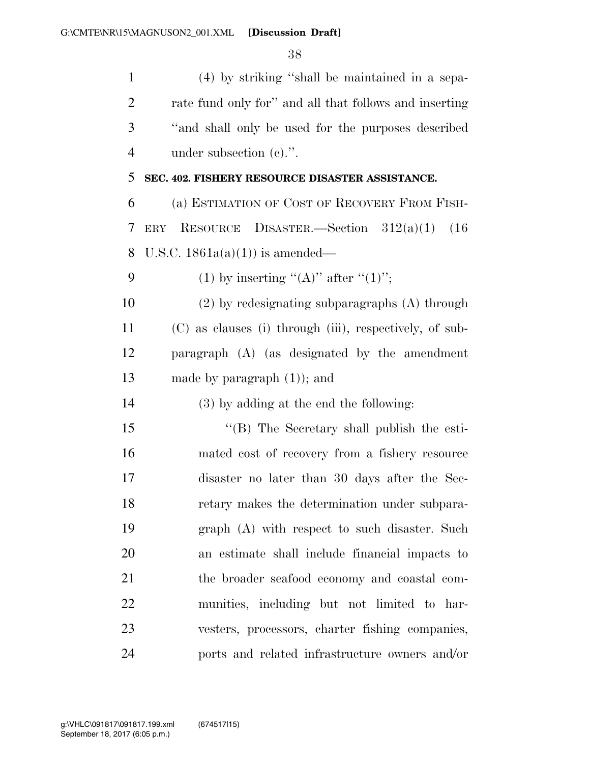| $\mathbf{1}$   | (4) by striking "shall be maintained in a sepa-         |
|----------------|---------------------------------------------------------|
| $\overline{2}$ | rate fund only for" and all that follows and inserting  |
| 3              | "and shall only be used for the purposes described      |
| $\overline{4}$ | under subsection $(e)$ .".                              |
| 5              | SEC. 402. FISHERY RESOURCE DISASTER ASSISTANCE.         |
| 6              | (a) ESTIMATION OF COST OF RECOVERY FROM FISH-           |
| 7              | ERY RESOURCE<br>DISASTER.—Section $312(a)(1)$<br>(16)   |
| 8              | U.S.C. $1861a(a)(1)$ is amended—                        |
| 9              | (1) by inserting "(A)" after "(1)";                     |
| 10             | $(2)$ by redesignating subparagraphs $(A)$ through      |
| 11             | (C) as clauses (i) through (iii), respectively, of sub- |
| 12             | paragraph (A) (as designated by the amendment           |
| 13             | made by paragraph $(1)$ ; and                           |
| 14             | $(3)$ by adding at the end the following:               |
| 15             | "(B) The Secretary shall publish the esti-              |
| 16             | mated cost of recovery from a fishery resource          |
| 17             | disaster no later than 30 days after the Sec-           |
| 18             | retary makes the determination under subpara-           |
| 19             | graph (A) with respect to such disaster. Such           |
| 20             | an estimate shall include financial impacts to          |
| 21             | the broader seafood economy and coastal com-            |
| 22             | munities, including but not limited to har-             |
| 23             | vesters, processors, charter fishing companies,         |
| 24             | ports and related infrastructure owners and/or          |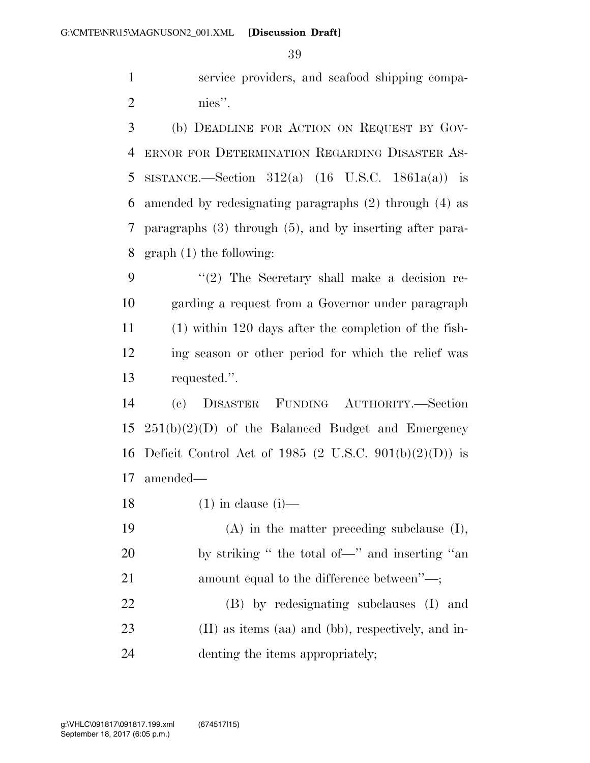service providers, and seafood shipping compa-nies''.

 (b) DEADLINE FOR ACTION ON REQUEST BY GOV- ERNOR FOR DETERMINATION REGARDING DISASTER AS-5 SISTANCE.—Section  $312(a)$  (16 U.S.C. 1861a(a)) is amended by redesignating paragraphs (2) through (4) as paragraphs (3) through (5), and by inserting after para-graph (1) the following:

 ''(2) The Secretary shall make a decision re- garding a request from a Governor under paragraph (1) within 120 days after the completion of the fish- ing season or other period for which the relief was requested.''.

 (c) DISASTER FUNDING AUTHORITY.—Section 251(b)(2)(D) of the Balanced Budget and Emergency Deficit Control Act of 1985 (2 U.S.C. 901(b)(2)(D)) is amended—

18  $(1)$  in clause  $(i)$ —

 (A) in the matter preceding subclause (I), by striking '' the total of—'' and inserting ''an 21 amount equal to the difference between''—; (B) by redesignating subclauses (I) and (II) as items (aa) and (bb), respectively, and in-denting the items appropriately;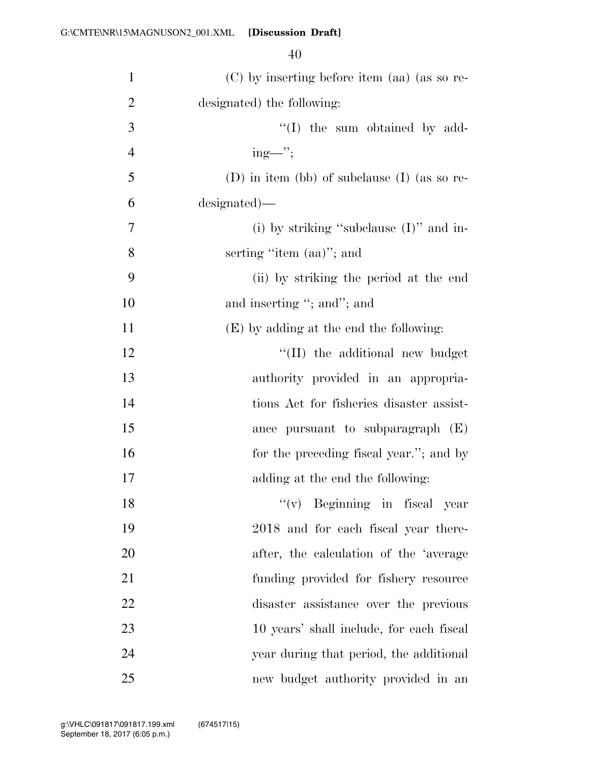| $\mathbf{1}$   | (C) by inserting before item (aa) (as so re-     |
|----------------|--------------------------------------------------|
| $\overline{2}$ | designated) the following:                       |
| 3              | "(I) the sum obtained by add-                    |
| $\overline{4}$ | $ing$ —'';                                       |
| 5              | $(D)$ in item (bb) of subclause $(I)$ (as so re- |
| 6              | designated)—                                     |
| 7              | (i) by striking "subclause $(I)$ " and in-       |
| 8              | serting "item (aa)"; and                         |
| 9              | (ii) by striking the period at the end           |
| 10             | and inserting "; and"; and                       |
| 11             | (E) by adding at the end the following:          |
| 12             | "(II) the additional new budget                  |
| 13             | authority provided in an appropria-              |
| 14             | tions Act for fisheries disaster assist-         |
| 15             | ance pursuant to subparagraph $(E)$              |
| 16             | for the preceding fiscal year."; and by          |
| 17             | adding at the end the following:                 |
| 18             | $f'(v)$ Beginning in fiscal year                 |
| 19             | 2018 and for each fiscal year there-             |
| 20             | after, the calculation of the 'average           |
| 21             | funding provided for fishery resource            |
| 22             | disaster assistance over the previous            |
| 23             | 10 years' shall include, for each fiscal         |
| 24             | year during that period, the additional          |
| 25             | new budget authority provided in an              |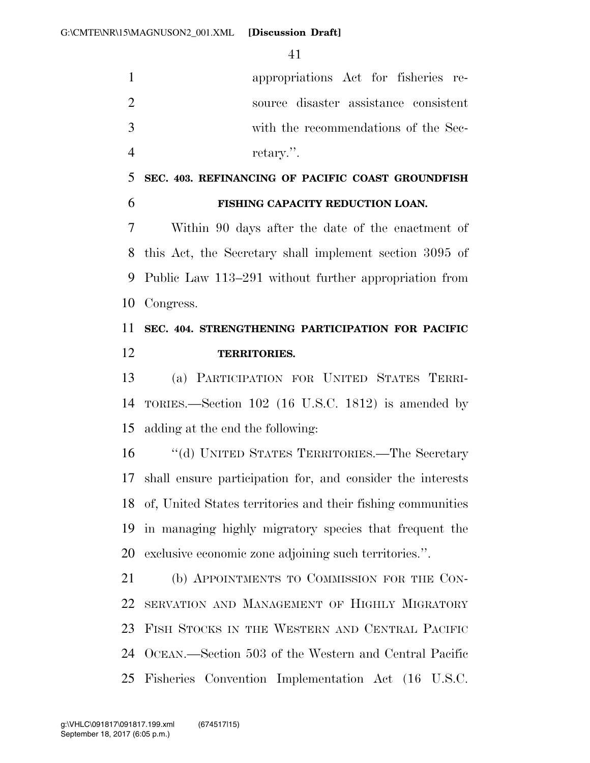appropriations Act for fisheries re- source disaster assistance consistent with the recommendations of the Sec-retary.''.

 **SEC. 403. REFINANCING OF PACIFIC COAST GROUNDFISH FISHING CAPACITY REDUCTION LOAN.** 

 Within 90 days after the date of the enactment of this Act, the Secretary shall implement section 3095 of Public Law 113–291 without further appropriation from Congress.

## **SEC. 404. STRENGTHENING PARTICIPATION FOR PACIFIC TERRITORIES.**

 (a) PARTICIPATION FOR UNITED STATES TERRI- TORIES.—Section 102 (16 U.S.C. 1812) is amended by adding at the end the following:

 ''(d) UNITED STATES TERRITORIES.—The Secretary shall ensure participation for, and consider the interests of, United States territories and their fishing communities in managing highly migratory species that frequent the exclusive economic zone adjoining such territories.''.

 (b) APPOINTMENTS TO COMMISSION FOR THE CON- SERVATION AND MANAGEMENT OF HIGHLY MIGRATORY FISH STOCKS IN THE WESTERN AND CENTRAL PACIFIC OCEAN.—Section 503 of the Western and Central Pacific Fisheries Convention Implementation Act (16 U.S.C.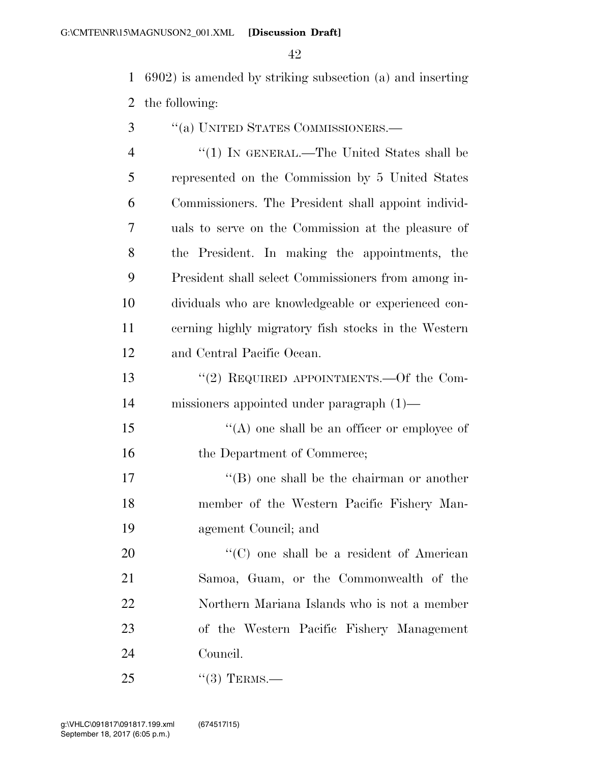6902) is amended by striking subsection (a) and inserting the following:

- ''(a) UNITED STATES COMMISSIONERS.—
- 4 "(1) IN GENERAL.—The United States shall be represented on the Commission by 5 United States Commissioners. The President shall appoint individ- uals to serve on the Commission at the pleasure of the President. In making the appointments, the President shall select Commissioners from among in- dividuals who are knowledgeable or experienced con- cerning highly migratory fish stocks in the Western and Central Pacific Ocean.
- 13 "(2) REQUIRED APPOINTMENTS.—Of the Com-missioners appointed under paragraph (1)—

15  $\langle (A) \rangle$  one shall be an officer or employee of 16 the Department of Commerce;

17 ''(B) one shall be the chairman or another member of the Western Pacific Fishery Man-agement Council; and

20 "'(C) one shall be a resident of American Samoa, Guam, or the Commonwealth of the Northern Mariana Islands who is not a member of the Western Pacific Fishery Management Council.

25  $(3)$  TERMS.—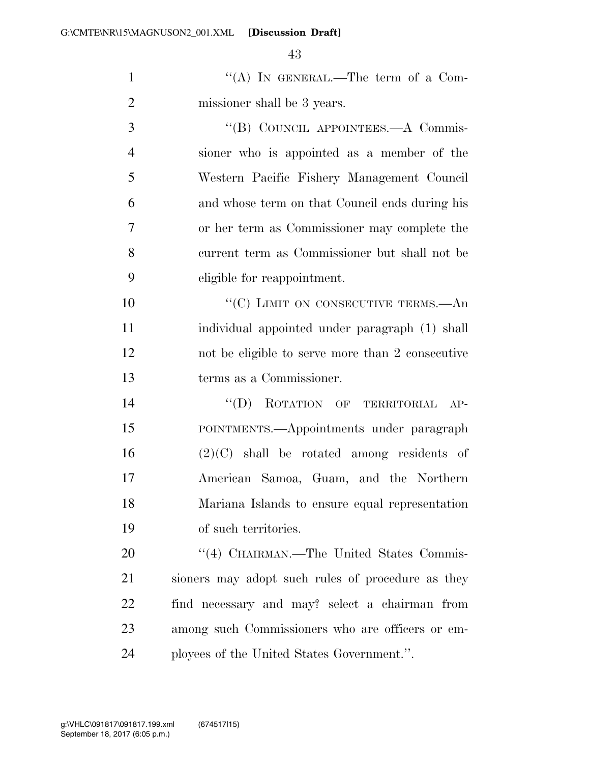G:\CMTE\NR\15\MAGNUSON2\_001.XML [Discussion Draft]

1 "'(A) In GENERAL.—The term of a Com-missioner shall be 3 years.

3 "(B) COUNCIL APPOINTEES.—A Commis- sioner who is appointed as a member of the Western Pacific Fishery Management Council and whose term on that Council ends during his or her term as Commissioner may complete the current term as Commissioner but shall not be eligible for reappointment.

10 "'(C) LIMIT ON CONSECUTIVE TERMS.—An individual appointed under paragraph (1) shall not be eligible to serve more than 2 consecutive terms as a Commissioner.

 ''(D) ROTATION OF TERRITORIAL AP- POINTMENTS.—Appointments under paragraph (2)(C) shall be rotated among residents of American Samoa, Guam, and the Northern Mariana Islands to ensure equal representation of such territories.

20 "(4) CHAIRMAN.—The United States Commis- sioners may adopt such rules of procedure as they find necessary and may? select a chairman from among such Commissioners who are officers or em-ployees of the United States Government.''.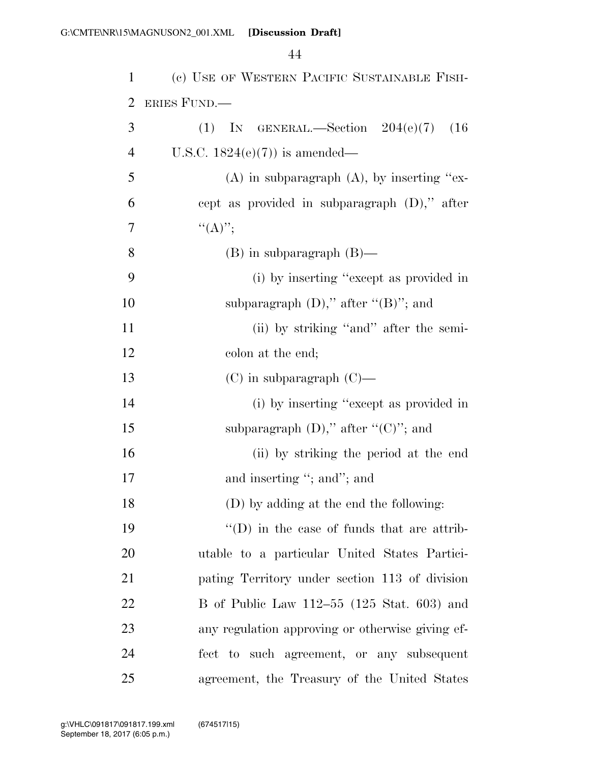| 1              | (c) USE OF WESTERN PACIFIC SUSTAINABLE FISH-       |
|----------------|----------------------------------------------------|
| $\overline{2}$ | ERIES FUND.—                                       |
| 3              | (1) IN GENERAL.—Section $204(e)(7)$<br>(16)        |
| $\overline{4}$ | U.S.C. $1824(e)(7)$ is amended—                    |
| 5              | $(A)$ in subparagraph $(A)$ , by inserting "ex-    |
| 6              | cept as provided in subparagraph $(D)$ ," after    |
| 7              | ``(A)''                                            |
| 8              | $(B)$ in subparagraph $(B)$ —                      |
| 9              | (i) by inserting "except as provided in            |
| 10             | subparagraph $(D)$ ," after " $(B)$ "; and         |
| 11             | (ii) by striking "and" after the semi-             |
| 12             | colon at the end;                                  |
| 13             | $(C)$ in subparagraph $(C)$ —                      |
| 14             | (i) by inserting "except as provided in            |
| 15             | subparagraph $(D)$ ," after " $(C)$ "; and         |
| 16             | (ii) by striking the period at the end             |
| 17             | and inserting "; and"; and                         |
| 18             | (D) by adding at the end the following:            |
| 19             | $\lq\lq$ (D) in the case of funds that are attrib- |
| 20             | utable to a particular United States Partici-      |
| 21             | pating Territory under section 113 of division     |
| 22             | B of Public Law $112-55$ (125 Stat. 603) and       |
| 23             | any regulation approving or otherwise giving ef-   |
| 24             | fect to such agreement, or any subsequent          |
| 25             | agreement, the Treasury of the United States       |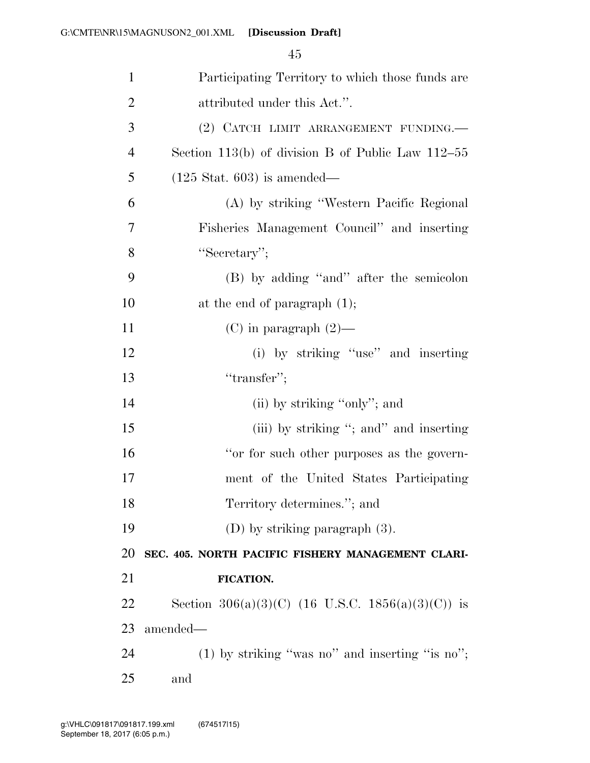| $\mathbf{1}$   | Participating Territory to which those funds are    |
|----------------|-----------------------------------------------------|
| $\overline{2}$ | attributed under this Act.".                        |
| 3              | (2) CATCH LIMIT ARRANGEMENT FUNDING.                |
| $\overline{4}$ | Section 113(b) of division B of Public Law $112-55$ |
| 5              | $(125 \text{ Stat. } 603)$ is amended—              |
| 6              | (A) by striking "Western Pacific Regional           |
| 7              | Fisheries Management Council" and inserting         |
| 8              | "Secretary";                                        |
| 9              | (B) by adding "and" after the semicolon             |
| 10             | at the end of paragraph $(1)$ ;                     |
| 11             | (C) in paragraph $(2)$ —                            |
| 12             | (i) by striking "use" and inserting                 |
| 13             | "transfer";                                         |
| 14             | (ii) by striking "only"; and                        |
| 15             | (iii) by striking "; and" and inserting             |
| 16             | "or for such other purposes as the govern-          |
| 17             | ment of the United States Participating             |
| 18             | Territory determines."; and                         |
| 19             | (D) by striking paragraph $(3)$ .                   |
| 20             | SEC. 405. NORTH PACIFIC FISHERY MANAGEMENT CLARI-   |
| 21             | FICATION.                                           |
| 22             | Section 306(a)(3)(C) (16 U.S.C. 1856(a)(3)(C)) is   |
| 23             | amended—                                            |
| 24             | $(1)$ by striking "was no" and inserting "is no";   |
| 25             | and                                                 |
|                |                                                     |